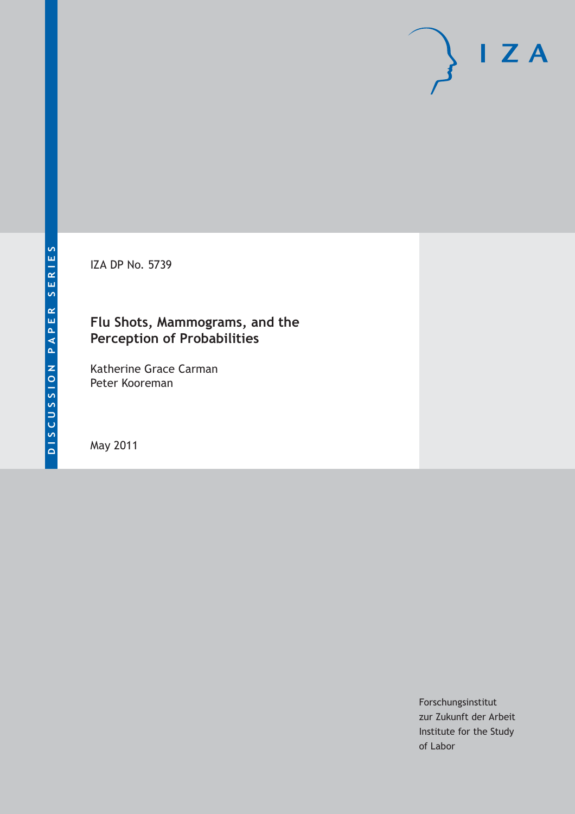IZA DP No. 5739

# **Flu Shots, Mammograms, and the Perception of Probabilities**

Katherine Grace Carman Peter Kooreman

May 2011

Forschungsinstitut zur Zukunft der Arbeit Institute for the Study of Labor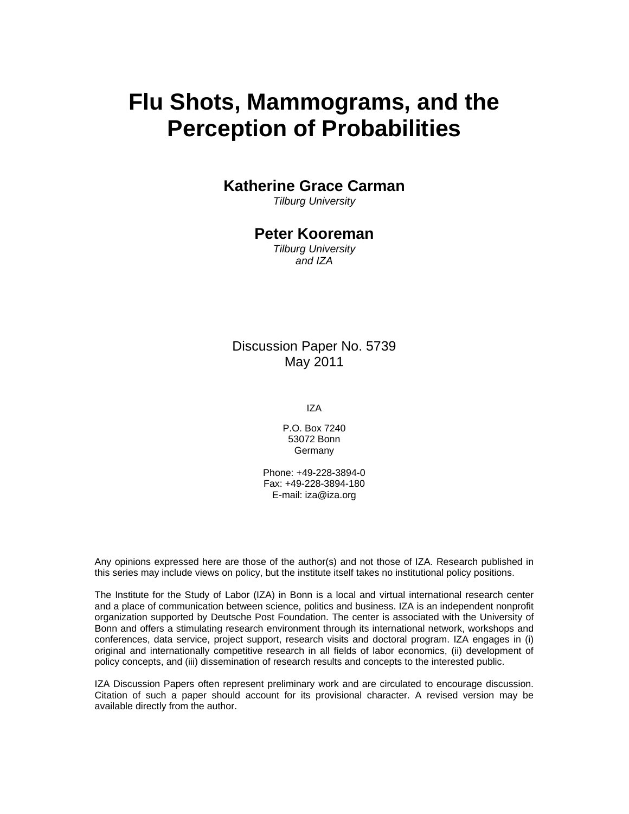# **Flu Shots, Mammograms, and the Perception of Probabilities**

## **Katherine Grace Carman**

*Tilburg University* 

# **Peter Kooreman**

*Tilburg University and IZA* 

## Discussion Paper No. 5739 May 2011

IZA

P.O. Box 7240 53072 Bonn Germany

Phone: +49-228-3894-0 Fax: +49-228-3894-180 E-mail: iza@iza.org

Any opinions expressed here are those of the author(s) and not those of IZA. Research published in this series may include views on policy, but the institute itself takes no institutional policy positions.

The Institute for the Study of Labor (IZA) in Bonn is a local and virtual international research center and a place of communication between science, politics and business. IZA is an independent nonprofit organization supported by Deutsche Post Foundation. The center is associated with the University of Bonn and offers a stimulating research environment through its international network, workshops and conferences, data service, project support, research visits and doctoral program. IZA engages in (i) original and internationally competitive research in all fields of labor economics, (ii) development of policy concepts, and (iii) dissemination of research results and concepts to the interested public.

IZA Discussion Papers often represent preliminary work and are circulated to encourage discussion. Citation of such a paper should account for its provisional character. A revised version may be available directly from the author.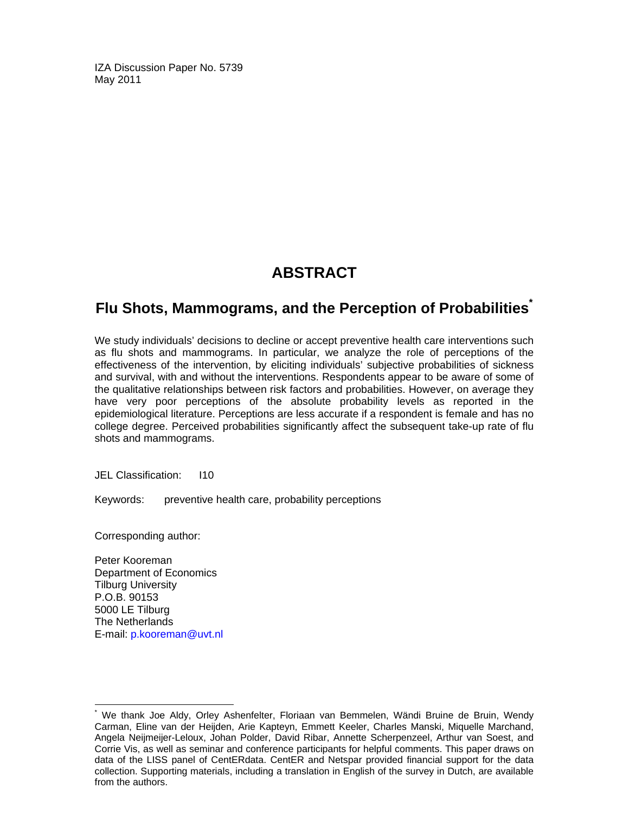IZA Discussion Paper No. 5739 May 2011

# **ABSTRACT**

# **Flu Shots, Mammograms, and the Perception of Probabilities\***

We study individuals' decisions to decline or accept preventive health care interventions such as flu shots and mammograms. In particular, we analyze the role of perceptions of the effectiveness of the intervention, by eliciting individuals' subjective probabilities of sickness and survival, with and without the interventions. Respondents appear to be aware of some of the qualitative relationships between risk factors and probabilities. However, on average they have very poor perceptions of the absolute probability levels as reported in the epidemiological literature. Perceptions are less accurate if a respondent is female and has no college degree. Perceived probabilities significantly affect the subsequent take-up rate of flu shots and mammograms.

JEL Classification: I10

Keywords: preventive health care, probability perceptions

Corresponding author:

Peter Kooreman Department of Economics Tilburg University P.O.B. 90153 5000 LE Tilburg The Netherlands E-mail: p.kooreman@uvt.nl

-

<sup>\*</sup> We thank Joe Aldy, Orley Ashenfelter, Floriaan van Bemmelen, Wändi Bruine de Bruin, Wendy Carman, Eline van der Heijden, Arie Kapteyn, Emmett Keeler, Charles Manski, Miquelle Marchand, Angela Neijmeijer-Leloux, Johan Polder, David Ribar, Annette Scherpenzeel, Arthur van Soest, and Corrie Vis, as well as seminar and conference participants for helpful comments. This paper draws on data of the LISS panel of CentERdata. CentER and Netspar provided financial support for the data collection. Supporting materials, including a translation in English of the survey in Dutch, are available from the authors.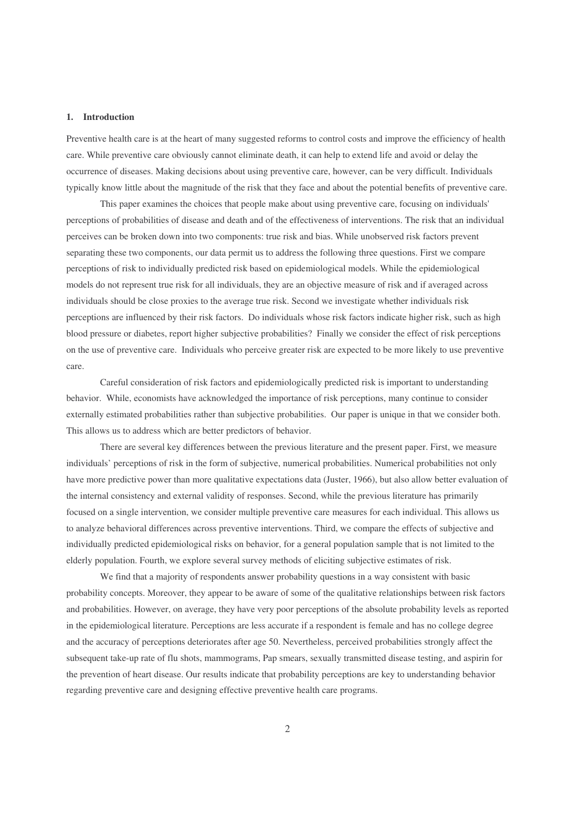#### **1. Introduction**

Preventive health care is at the heart of many suggested reforms to control costs and improve the efficiency of health care. While preventive care obviously cannot eliminate death, it can help to extend life and avoid or delay the occurrence of diseases. Making decisions about using preventive care, however, can be very difficult. Individuals typically know little about the magnitude of the risk that they face and about the potential benefits of preventive care.

This paper examines the choices that people make about using preventive care, focusing on individuals' perceptions of probabilities of disease and death and of the effectiveness of interventions. The risk that an individual perceives can be broken down into two components: true risk and bias. While unobserved risk factors prevent separating these two components, our data permit us to address the following three questions. First we compare perceptions of risk to individually predicted risk based on epidemiological models. While the epidemiological models do not represent true risk for all individuals, they are an objective measure of risk and if averaged across individuals should be close proxies to the average true risk. Second we investigate whether individuals risk perceptions are influenced by their risk factors. Do individuals whose risk factors indicate higher risk, such as high blood pressure or diabetes, report higher subjective probabilities? Finally we consider the effect of risk perceptions on the use of preventive care. Individuals who perceive greater risk are expected to be more likely to use preventive care.

Careful consideration of risk factors and epidemiologically predicted risk is important to understanding behavior. While, economists have acknowledged the importance of risk perceptions, many continue to consider externally estimated probabilities rather than subjective probabilities. Our paper is unique in that we consider both. This allows us to address which are better predictors of behavior.

There are several key differences between the previous literature and the present paper. First, we measure individuals' perceptions of risk in the form of subjective, numerical probabilities. Numerical probabilities not only have more predictive power than more qualitative expectations data (Juster, 1966), but also allow better evaluation of the internal consistency and external validity of responses. Second, while the previous literature has primarily focused on a single intervention, we consider multiple preventive care measures for each individual. This allows us to analyze behavioral differences across preventive interventions. Third, we compare the effects of subjective and individually predicted epidemiological risks on behavior, for a general population sample that is not limited to the elderly population. Fourth, we explore several survey methods of eliciting subjective estimates of risk.

We find that a majority of respondents answer probability questions in a way consistent with basic probability concepts. Moreover, they appear to be aware of some of the qualitative relationships between risk factors and probabilities. However, on average, they have very poor perceptions of the absolute probability levels as reported in the epidemiological literature. Perceptions are less accurate if a respondent is female and has no college degree and the accuracy of perceptions deteriorates after age 50. Nevertheless, perceived probabilities strongly affect the subsequent take-up rate of flu shots, mammograms, Pap smears, sexually transmitted disease testing, and aspirin for the prevention of heart disease. Our results indicate that probability perceptions are key to understanding behavior regarding preventive care and designing effective preventive health care programs.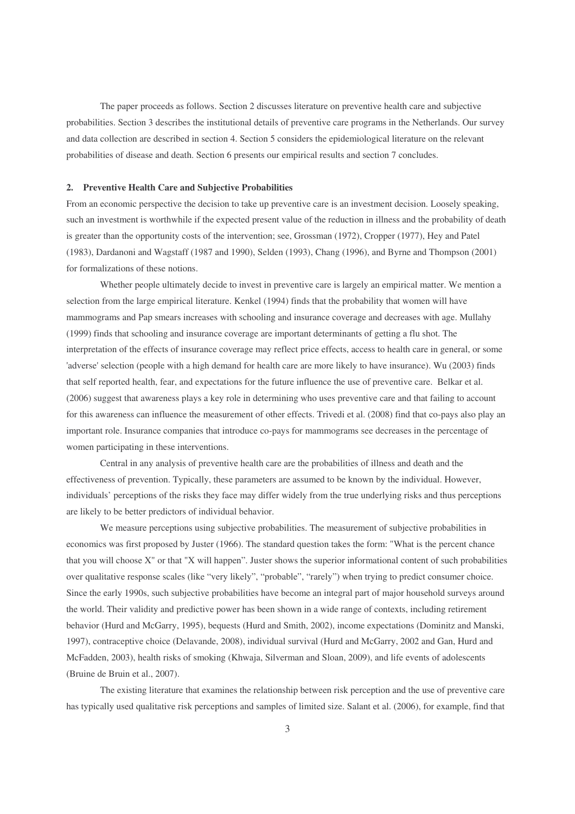The paper proceeds as follows. Section 2 discusses literature on preventive health care and subjective probabilities. Section 3 describes the institutional details of preventive care programs in the Netherlands. Our survey and data collection are described in section 4. Section 5 considers the epidemiological literature on the relevant probabilities of disease and death. Section 6 presents our empirical results and section 7 concludes.

#### **2. Preventive Health Care and Subjective Probabilities**

From an economic perspective the decision to take up preventive care is an investment decision. Loosely speaking, such an investment is worthwhile if the expected present value of the reduction in illness and the probability of death is greater than the opportunity costs of the intervention; see, Grossman (1972), Cropper (1977), Hey and Patel (1983), Dardanoni and Wagstaff (1987 and 1990), Selden (1993), Chang (1996), and Byrne and Thompson (2001) for formalizations of these notions.

Whether people ultimately decide to invest in preventive care is largely an empirical matter. We mention a selection from the large empirical literature. Kenkel (1994) finds that the probability that women will have mammograms and Pap smears increases with schooling and insurance coverage and decreases with age. Mullahy (1999) finds that schooling and insurance coverage are important determinants of getting a flu shot. The interpretation of the effects of insurance coverage may reflect price effects, access to health care in general, or some 'adverse'selection (people with a high demand for health care are more likely to have insurance). Wu (2003) finds that self reported health, fear, and expectations for the future influence the use of preventive care. Belkar et al. (2006) suggest that awareness plays a key role in determining who uses preventive care and that failing to account for this awareness can influence the measurement of other effects. Trivedi et al. (2008) find that co-pays also play an important role. Insurance companies that introduce co-pays for mammograms see decreases in the percentage of women participating in these interventions.

Central in any analysis of preventive health care are the probabilities of illness and death and the effectiveness of prevention. Typically, these parameters are assumed to be known by the individual. However, individuals' perceptions of the risks they face may differ widely from the true underlying risks and thus perceptions are likely to be better predictors of individual behavior.

We measure perceptions using subjective probabilities. The measurement of subjective probabilities in economics was first proposed by Juster (1966). The standard question takes the form: "What is the percent chance that you will choose X" or that "X will happen". Juster shows the superior informational content of such probabilities over qualitative response scales (like "very likely", "probable", "rarely") when trying to predict consumer choice. Since the early 1990s, such subjective probabilities have become an integral part of major household surveys around the world. Their validity and predictive power has been shown in a wide range of contexts, including retirement behavior (Hurd and McGarry, 1995), bequests (Hurd and Smith, 2002), income expectations (Dominitz and Manski, 1997), contraceptive choice (Delavande, 2008), individual survival (Hurd and McGarry, 2002 and Gan, Hurd and McFadden, 2003), health risks of smoking (Khwaja, Silverman and Sloan, 2009), and life events of adolescents (Bruine de Bruin et al., 2007).

The existing literature that examines the relationship between risk perception and the use of preventive care has typically used qualitative risk perceptions and samples of limited size. Salant et al. (2006), for example, find that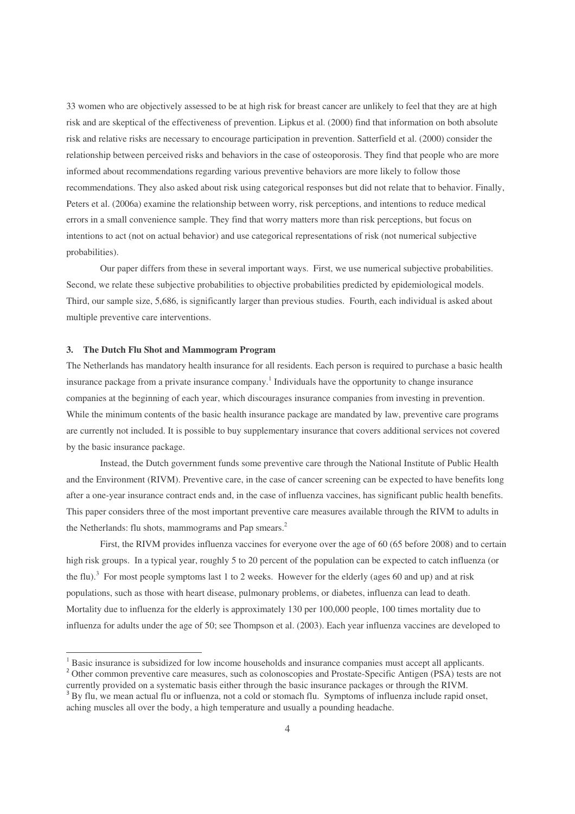33 women who are objectively assessed to be at high risk for breast cancer are unlikely to feel that they are at high risk and are skeptical of the effectiveness of prevention. Lipkus et al. (2000) find that information on both absolute risk and relative risks are necessary to encourage participation in prevention. Satterfield et al. (2000) consider the relationship between perceived risks and behaviors in the case of osteoporosis. They find that people who are more informed about recommendations regarding various preventive behaviors are more likely to follow those recommendations. They also asked about risk using categorical responses but did not relate that to behavior. Finally, Peters et al. (2006a) examine the relationship between worry, risk perceptions, and intentions to reduce medical errors in a small convenience sample. They find that worry matters more than risk perceptions, but focus on intentions to act (not on actual behavior) and use categorical representations of risk (not numerical subjective probabilities).

Our paper differs from these in several important ways. First, we use numerical subjective probabilities. Second, we relate these subjective probabilities to objective probabilities predicted by epidemiological models. Third, our sample size, 5,686, is significantly larger than previous studies. Fourth, each individual is asked about multiple preventive care interventions.

#### **3. The Dutch Flu Shot and Mammogram Program**

The Netherlands has mandatory health insurance for all residents. Each person is required to purchase a basic health insurance package from a private insurance company.<sup>1</sup> Individuals have the opportunity to change insurance companies at the beginning of each year, which discourages insurance companies from investing in prevention. While the minimum contents of the basic health insurance package are mandated by law, preventive care programs are currently not included. It is possible to buy supplementary insurance that covers additional services not covered by the basic insurance package.

Instead, the Dutch government funds some preventive care through the National Institute of Public Health and the Environment (RIVM). Preventive care, in the case of cancer screening can be expected to have benefits long after a one-year insurance contract ends and, in the case of influenza vaccines, has significant public health benefits. This paper considers three of the most important preventive care measures available through the RIVM to adults in the Netherlands: flu shots, mammograms and Pap smears.<sup>2</sup>

First, the RIVM provides influenza vaccines for everyone over the age of 60 (65 before 2008) and to certain high risk groups. In a typical year, roughly 5 to 20 percent of the population can be expected to catch influenza (or the flu).<sup>3</sup> For most people symptoms last 1 to 2 weeks. However for the elderly (ages 60 and up) and at risk populations, such as those with heart disease, pulmonary problems, or diabetes, influenza can lead to death. Mortality due to influenza for the elderly is approximately 130 per 100,000 people, 100 times mortality due to influenza for adults under the age of 50; see Thompson et al. (2003). Each year influenza vaccines are developed to

<sup>1</sup> Basic insurance is subsidized for low income households and insurance companies must accept all applicants. <sup>2</sup> Other common preventive care measures, such as colonoscopies and Prostate-Specific Antigen (PSA) tests are not

currently provided on a systematic basis either through the basic insurance packages or through the RIVM. By flu, we mean actual flu or influenza, not a cold or stomach flu. Symptoms of influenza include rapid onset, aching muscles all over the body, a high temperature and usually a pounding headache.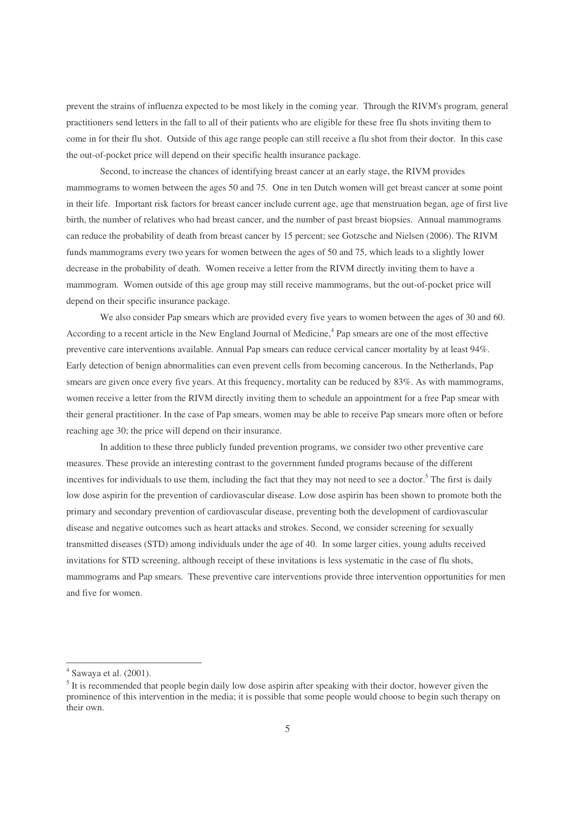prevent the strains of influenza expected to be most likely in the coming year. Through the RIVM's program, general practitioners send letters in the fall to all of their patients who are eligible for these free flu shots inviting them to come in for their flu shot. Outside of this age range people can still receive a flu shot from their doctor. In this case the out-of-pocket price will depend on their specific health insurance package.

Second, to increase the chances of identifying breast cancer at an early stage, the RIVM provides mammograms to women between the ages 50 and 75. One in ten Dutch women will get breast cancer at some point in their life. Important risk factors for breast cancer include current age, age that menstruation began, age of first live birth, the number of relatives who had breast cancer, and the number of past breast biopsies. Annual mammograms can reduce the probability of death from breast cancer by 15 percent; see Gotzsche and Nielsen (2006). The RIVM funds mammograms every two years for women between the ages of 50 and 75, which leads to a slightly lower decrease in the probability of death. Women receive a letter from the RIVM directly inviting them to have a mammogram. Women outside of this age group may still receive mammograms, but the out-of-pocket price will depend on their specific insurance package.

We also consider Pap smears which are provided every five years to women between the ages of 30 and 60. According to a recent article in the New England Journal of Medicine, 4 Pap smears are one of the most effective preventive care interventions available. Annual Pap smears can reduce cervical cancer mortality by at least 94%. Early detection of benign abnormalities can even prevent cells from becoming cancerous. In the Netherlands, Pap smears are given once every five years. At this frequency, mortality can be reduced by 83%. As with mammograms, women receive a letter from the RIVM directly inviting them to schedule an appointment for a free Pap smear with their general practitioner. In the case of Pap smears, women may be able to receive Pap smears more often or before reaching age 30; the price will depend on their insurance.

In addition to these three publicly funded prevention programs, we consider two other preventive care measures. These provide an interesting contrast to the government funded programs because of the different incentives for individuals to use them, including the fact that they may not need to see a doctor. <sup>5</sup> The first is daily low dose aspirin for the prevention of cardiovascular disease. Low dose aspirin has been shown to promote both the primary and secondary prevention of cardiovascular disease, preventing both the development of cardiovascular disease and negative outcomes such as heart attacks and strokes. Second, we consider screening for sexually transmitted diseases (STD) among individuals under the age of 40. In some larger cities, young adults received invitations for STD screening, although receipt of these invitations is less systematic in the case of flu shots, mammograms and Pap smears. These preventive care interventions provide three intervention opportunities for men and five for women.

 $<sup>4</sup>$  Sawaya et al. (2001).</sup>

 $<sup>5</sup>$  It is recommended that people begin daily low dose aspirin after speaking with their doctor, however given the</sup> prominence of this intervention in the media; it is possible that some people would choose to begin such therapy on their own.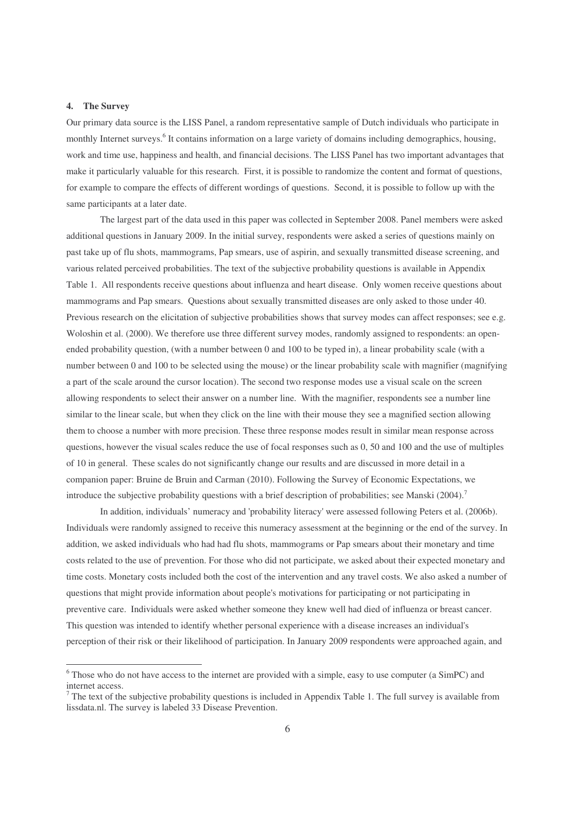#### **4. The Survey**

Our primary data source is the LISS Panel, a random representative sample of Dutch individuals who participate in monthly Internet surveys.<sup>6</sup> It contains information on a large variety of domains including demographics, housing, work and time use, happiness and health, and financial decisions. The LISS Panel has two important advantages that make it particularly valuable for this research. First, it is possible to randomize the content and format of questions, for example to compare the effects of different wordings of questions. Second, it is possible to follow up with the same participants at a later date.

The largest part of the data used in this paper was collected in September 2008. Panel members were asked additional questions in January 2009. In the initial survey, respondents were asked a series of questions mainly on past take up of flu shots, mammograms, Pap smears, use of aspirin, and sexually transmitted disease screening, and various related perceived probabilities. The text of the subjective probability questions is available in Appendix Table 1. All respondents receive questions about influenza and heart disease. Only women receive questions about mammograms and Pap smears. Questions about sexually transmitted diseases are only asked to those under 40. Previous research on the elicitation of subjective probabilities shows that survey modes can affect responses; see e.g. Woloshin et al. (2000). We therefore use three different survey modes, randomly assigned to respondents: an openended probability question, (with a number between 0 and 100 to be typed in), a linear probability scale (with a number between 0 and 100 to be selected using the mouse) or the linear probability scale with magnifier (magnifying a part of the scale around the cursor location). The second two response modes use a visual scale on the screen allowing respondents to select their answer on a number line. With the magnifier, respondents see a number line similar to the linear scale, but when they click on the line with their mouse they see a magnified section allowing them to choose a number with more precision. These three response modes result in similar mean response across questions, however the visual scales reduce the use of focal responses such as 0, 50 and 100 and the use of multiples of 10 in general. These scales do not significantly change our results and are discussed in more detail in a companion paper: Bruine de Bruin and Carman (2010). Following the Survey of Economic Expectations, we introduce the subjective probability questions with a brief description of probabilities; see Manski (2004).<sup>7</sup>

In addition, individuals' numeracy and 'probability literacy'were assessed following Peters et al. (2006b). Individuals were randomly assigned to receive this numeracy assessment at the beginning or the end of the survey. In addition, we asked individuals who had had flu shots, mammograms or Pap smears about their monetary and time costs related to the use of prevention. For those who did not participate, we asked about their expected monetary and time costs. Monetary costs included both the cost of the intervention and any travel costs. We also asked a number of questions that might provide information about people's motivations for participating or not participating in preventive care. Individuals were asked whether someone they knew well had died of influenza or breast cancer. This question was intended to identify whether personal experience with a disease increases an individual's perception of their risk or their likelihood of participation. In January 2009 respondents were approached again, and

<u> 1989 - Johann Stein, mars et al. 1989 - Anna ann an t-Anna ann an t-Anna ann an t-Anna ann an t-Anna ann an t-</u>

<sup>6</sup> Those who do not have access to the internet are provided with a simple, easy to use computer (a SimPC) and internet access.

<sup>&</sup>lt;sup>7</sup> The text of the subjective probability questions is included in Appendix Table 1. The full survey is available from lissdata.nl. The survey is labeled 33 Disease Prevention.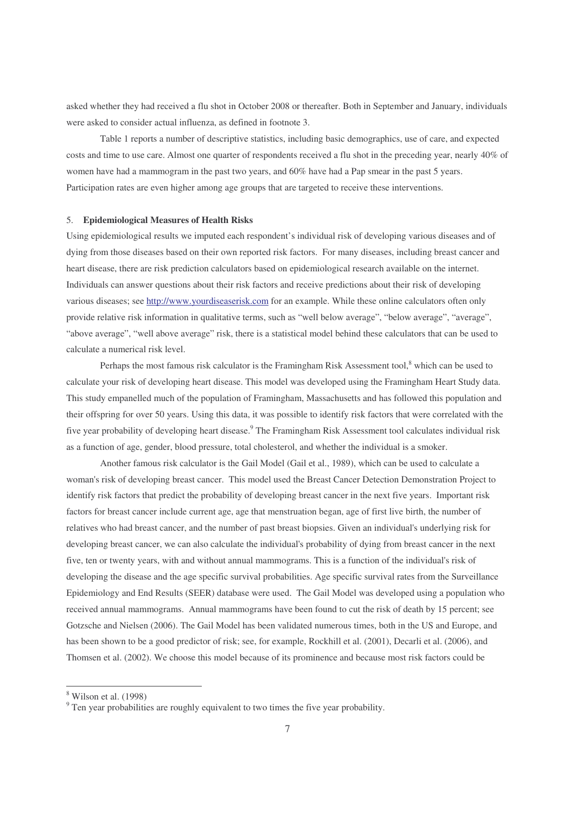asked whether they had received a flu shot in October 2008 or thereafter. Both in September and January, individuals were asked to consider actual influenza, as defined in footnote 3.

Table 1 reports a number of descriptive statistics, including basic demographics, use of care, and expected costs and time to use care. Almost one quarter of respondents received a flu shot in the preceding year, nearly 40% of women have had a mammogram in the past two years, and 60% have had a Pap smear in the past 5 years. Participation rates are even higher among age groups that are targeted to receive these interventions.

#### 5. **Epidemiological Measures of Health Risks**

Using epidemiological results we imputed each respondent's individual risk of developing various diseases and of dying from those diseases based on their own reported risk factors. For many diseases, including breast cancer and heart disease, there are risk prediction calculators based on epidemiological research available on the internet. Individuals can answer questions about their risk factors and receive predictions about their risk of developing various diseases; see http://www.yourdiseaserisk.com for an example. While these online calculators often only provide relative risk information in qualitative terms, such as "well below average", "below average", "average", "above average", "well above average" risk, there is a statistical model behind these calculators that can be used to calculate a numerical risk level.

Perhaps the most famous risk calculator is the Framingham Risk Assessment tool,<sup>8</sup> which can be used to calculate your risk of developing heart disease. This model was developed using the Framingham Heart Study data. This study empanelled much of the population of Framingham, Massachusetts and has followed this population and their offspring for over 50 years. Using this data, it was possible to identify risk factors that were correlated with the five year probability of developing heart disease.<sup>9</sup> The Framingham Risk Assessment tool calculates individual risk as a function of age, gender, blood pressure, total cholesterol, and whether the individual is a smoker.

Another famous risk calculator is the Gail Model (Gail et al., 1989), which can be used to calculate a woman's risk of developing breast cancer. This model used the Breast Cancer Detection Demonstration Project to identify risk factors that predict the probability of developing breast cancer in the next five years. Important risk factors for breast cancer include current age, age that menstruation began, age of first live birth, the number of relatives who had breast cancer, and the number of past breast biopsies. Given an individual's underlying risk for developing breast cancer, we can also calculate the individual's probability of dying from breast cancer in the next five, ten or twenty years, with and without annual mammograms. This is a function of the individual's risk of developing the disease and the age specific survival probabilities. Age specific survival rates from the Surveillance Epidemiology and End Results (SEER) database were used. The Gail Model was developed using a population who received annual mammograms. Annual mammograms have been found to cut the risk of death by 15 percent; see Gotzsche and Nielsen (2006). The Gail Model has been validated numerous times, both in the US and Europe, and has been shown to be a good predictor of risk; see, for example, Rockhill et al. (2001), Decarli et al. (2006), and Thomsen et al. (2002). We choose this model because of its prominence and because most risk factors could be

<sup>8</sup> Wilson et al. (1998)

<sup>&</sup>lt;sup>9</sup> Ten year probabilities are roughly equivalent to two times the five year probability.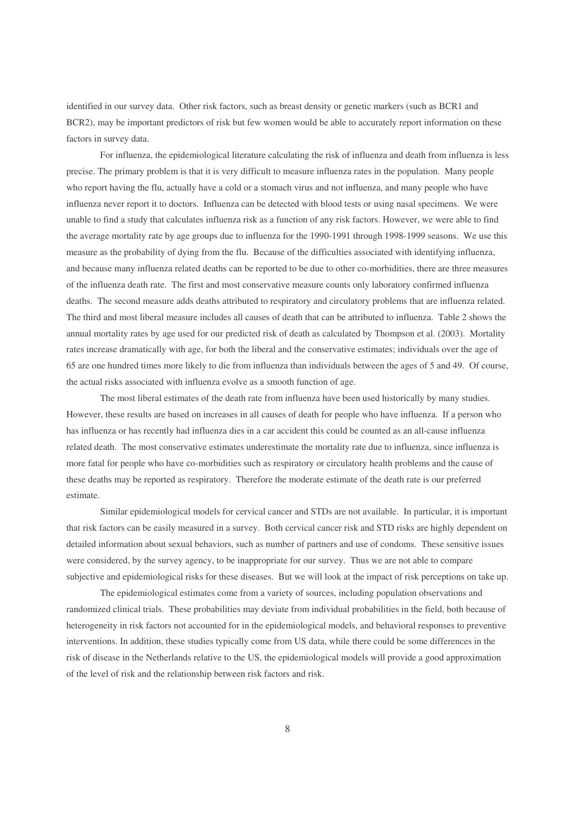identified in our survey data. Other risk factors, such as breast density or genetic markers (such as BCR1 and BCR2), may be important predictors of risk but few women would be able to accurately report information on these factors in survey data.

For influenza, the epidemiological literature calculating the risk of influenza and death from influenza is less precise. The primary problem is that it is very difficult to measure influenza rates in the population. Many people who report having the flu, actually have a cold or a stomach virus and not influenza, and many people who have influenza never report it to doctors. Influenza can be detected with blood tests or using nasal specimens. We were unable to find a study that calculates influenza risk as a function of any risk factors. However, we were able to find the average mortality rate by age groups due to influenza for the 1990-1991 through 1998-1999 seasons. We use this measure as the probability of dying from the flu. Because of the difficulties associated with identifying influenza, and because many influenza related deaths can be reported to be due to other co-morbidities, there are three measures of the influenza death rate. The first and most conservative measure counts only laboratory confirmed influenza deaths. The second measure adds deaths attributed to respiratory and circulatory problems that are influenza related. The third and most liberal measure includes all causes of death that can be attributed to influenza. Table 2 shows the annual mortality rates by age used for our predicted risk of death as calculated by Thompson et al. (2003). Mortality rates increase dramatically with age, for both the liberal and the conservative estimates; individuals over the age of 65 are one hundred times more likely to die from influenza than individuals between the ages of 5 and 49. Of course, the actual risks associated with influenza evolve as a smooth function of age.

The most liberal estimates of the death rate from influenza have been used historically by many studies. However, these results are based on increases in all causes of death for people who have influenza. If a person who has influenza or has recently had influenza dies in a car accident this could be counted as an all-cause influenza related death. The most conservative estimates underestimate the mortality rate due to influenza, since influenza is more fatal for people who have co-morbidities such as respiratory or circulatory health problems and the cause of these deaths may be reported as respiratory. Therefore the moderate estimate of the death rate is our preferred estimate.

Similar epidemiological models for cervical cancer and STDs are not available. In particular, it is important that risk factors can be easily measured in a survey. Both cervical cancer risk and STD risks are highly dependent on detailed information about sexual behaviors, such as number of partners and use of condoms. These sensitive issues were considered, by the survey agency, to be inappropriate for our survey. Thus we are not able to compare subjective and epidemiological risks for these diseases. But we will look at the impact of risk perceptions on take up.

The epidemiological estimates come from a variety of sources, including population observations and randomized clinical trials. These probabilities may deviate from individual probabilities in the field, both because of heterogeneity in risk factors not accounted for in the epidemiological models, and behavioral responses to preventive interventions. In addition, these studies typically come from US data, while there could be some differences in the risk of disease in the Netherlands relative to the US, the epidemiological models will provide a good approximation of the level of risk and the relationship between risk factors and risk.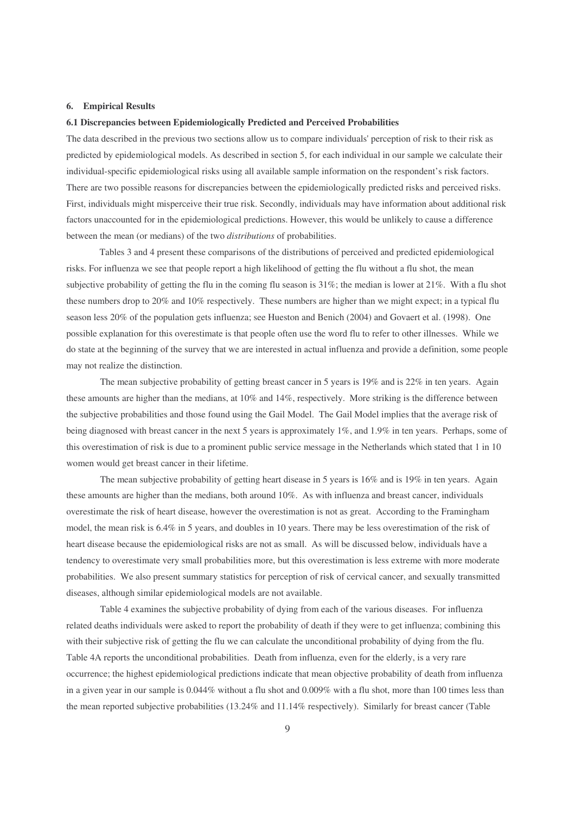#### **6. Empirical Results**

#### **6.1 Discrepancies between Epidemiologically Predicted and Perceived Probabilities**

The data described in the previous two sections allow us to compare individuals'perception of risk to their risk as predicted by epidemiological models. As described in section 5, for each individual in our sample we calculate their individual-specific epidemiological risks using all available sample information on the respondent's risk factors. There are two possible reasons for discrepancies between the epidemiologically predicted risks and perceived risks. First, individuals might misperceive their true risk. Secondly, individuals may have information about additional risk factors unaccounted for in the epidemiological predictions. However, this would be unlikely to cause a difference between the mean (or medians) of the two *distributions* of probabilities.

Tables 3 and 4 present these comparisons of the distributions of perceived and predicted epidemiological risks. For influenza we see that people report a high likelihood of getting the flu without a flu shot, the mean subjective probability of getting the flu in the coming flu season is 31%; the median is lower at 21%. With a flu shot these numbers drop to 20% and 10% respectively. These numbers are higher than we might expect; in a typical flu season less 20% of the population gets influenza; see Hueston and Benich (2004) and Govaert et al. (1998). One possible explanation for this overestimate is that people often use the word flu to refer to other illnesses. While we do state at the beginning of the survey that we are interested in actual influenza and provide a definition, some people may not realize the distinction.

The mean subjective probability of getting breast cancer in 5 years is 19% and is 22% in ten years. Again these amounts are higher than the medians, at 10% and 14%, respectively. More striking is the difference between the subjective probabilities and those found using the Gail Model. The Gail Model implies that the average risk of being diagnosed with breast cancer in the next 5 years is approximately 1%, and 1.9% in ten years. Perhaps, some of this overestimation of risk is due to a prominent public service message in the Netherlands which stated that 1 in 10 women would get breast cancer in their lifetime.

The mean subjective probability of getting heart disease in 5 years is 16% and is 19% in ten years. Again these amounts are higher than the medians, both around 10%. As with influenza and breast cancer, individuals overestimate the risk of heart disease, however the overestimation is not as great. According to the Framingham model, the mean risk is 6.4% in 5 years, and doubles in 10 years. There may be less overestimation of the risk of heart disease because the epidemiological risks are not as small. As will be discussed below, individuals have a tendency to overestimate very small probabilities more, but this overestimation is less extreme with more moderate probabilities. We also present summary statistics for perception of risk of cervical cancer, and sexually transmitted diseases, although similar epidemiological models are not available.

Table 4 examines the subjective probability of dying from each of the various diseases. For influenza related deaths individuals were asked to report the probability of death if they were to get influenza; combining this with their subjective risk of getting the flu we can calculate the unconditional probability of dying from the flu. Table 4A reports the unconditional probabilities. Death from influenza, even for the elderly, is a very rare occurrence; the highest epidemiological predictions indicate that mean objective probability of death from influenza in a given year in our sample is 0.044% without a flu shot and 0.009% with a flu shot, more than 100 times less than the mean reported subjective probabilities (13.24% and 11.14% respectively). Similarly for breast cancer (Table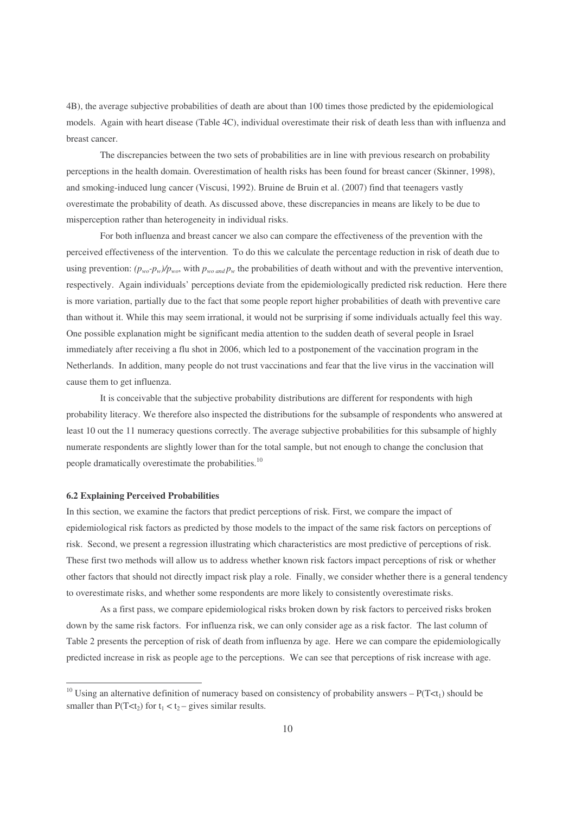4B), the average subjective probabilities of death are about than 100 times those predicted by the epidemiological models. Again with heart disease (Table 4C), individual overestimate their risk of death less than with influenza and breast cancer.

The discrepancies between the two sets of probabilities are in line with previous research on probability perceptions in the health domain. Overestimation of health risks has been found for breast cancer (Skinner, 1998), and smoking-induced lung cancer (Viscusi, 1992). Bruine de Bruin et al. (2007) find that teenagers vastly overestimate the probability of death. As discussed above, these discrepancies in means are likely to be due to misperception rather than heterogeneity in individual risks.

For both influenza and breast cancer we also can compare the effectiveness of the prevention with the perceived effectiveness of the intervention. To do this we calculate the percentage reduction in risk of death due to using prevention:  $(p_{wo} - p_w)/p_{wo}$ , with  $p_{wo}$  *and*  $p_w$  the probabilities of death without and with the preventive intervention, respectively. Again individuals' perceptions deviate from the epidemiologically predicted risk reduction. Here there is more variation, partially due to the fact that some people report higher probabilities of death with preventive care than without it. While this may seem irrational, it would not be surprising if some individuals actually feel this way. One possible explanation might be significant media attention to the sudden death of several people in Israel immediately after receiving a flu shot in 2006, which led to a postponement of the vaccination program in the Netherlands. In addition, many people do not trust vaccinations and fear that the live virus in the vaccination will cause them to get influenza.

It is conceivable that the subjective probability distributions are different for respondents with high probability literacy. We therefore also inspected the distributions for the subsample of respondents who answered at least 10 out the 11 numeracy questions correctly. The average subjective probabilities for this subsample of highly numerate respondents are slightly lower than for the total sample, but not enough to change the conclusion that people dramatically overestimate the probabilities.<sup>10</sup>

#### **6.2 Explaining Perceived Probabilities**

In this section, we examine the factors that predict perceptions of risk. First, we compare the impact of epidemiological risk factors as predicted by those models to the impact of the same risk factors on perceptions of risk. Second, we present a regression illustrating which characteristics are most predictive of perceptions of risk. These first two methods will allow us to address whether known risk factors impact perceptions of risk or whether other factors that should not directly impact risk play a role. Finally, we consider whether there is a general tendency to overestimate risks, and whether some respondents are more likely to consistently overestimate risks.

As a first pass, we compare epidemiological risks broken down by risk factors to perceived risks broken down by the same risk factors. For influenza risk, we can only consider age as a risk factor. The last column of Table 2 presents the perception of risk of death from influenza by age. Here we can compare the epidemiologically predicted increase in risk as people age to the perceptions. We can see that perceptions of risk increase with age.

<sup>&</sup>lt;sup>10</sup> Using an alternative definition of numeracy based on consistency of probability answers –  $P(T \lt t_1)$  should be smaller than  $P(T \le t_2)$  for  $t_1 \le t_2$  – gives similar results.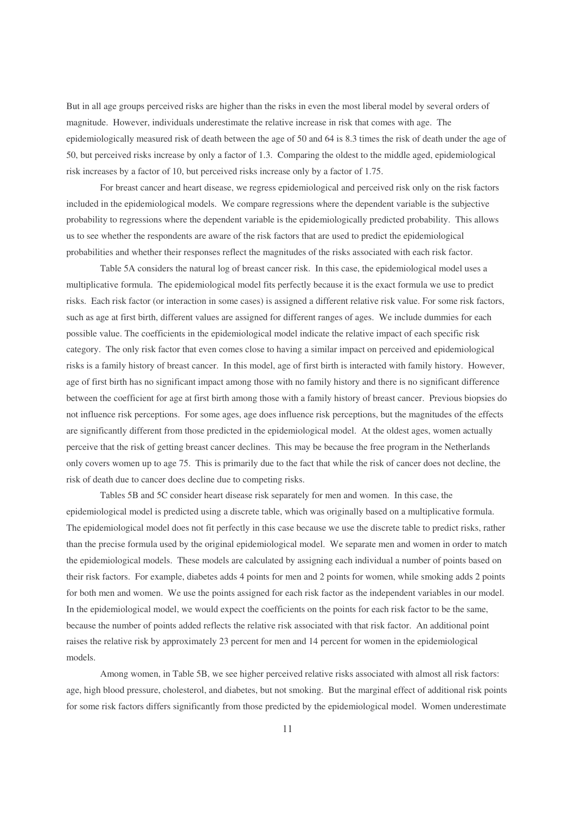But in all age groups perceived risks are higher than the risks in even the most liberal model by several orders of magnitude. However, individuals underestimate the relative increase in risk that comes with age. The epidemiologically measured risk of death between the age of 50 and 64 is 8.3 times the risk of death under the age of 50, but perceived risks increase by only a factor of 1.3. Comparing the oldest to the middle aged, epidemiological risk increases by a factor of 10, but perceived risks increase only by a factor of 1.75.

For breast cancer and heart disease, we regress epidemiological and perceived risk only on the risk factors included in the epidemiological models. We compare regressions where the dependent variable is the subjective probability to regressions where the dependent variable is the epidemiologically predicted probability. This allows us to see whether the respondents are aware of the risk factors that are used to predict the epidemiological probabilities and whether their responses reflect the magnitudes of the risks associated with each risk factor.

Table 5A considers the natural log of breast cancer risk. In this case, the epidemiological model uses a multiplicative formula. The epidemiological model fits perfectly because it is the exact formula we use to predict risks. Each risk factor (or interaction in some cases) is assigned a different relative risk value. For some risk factors, such as age at first birth, different values are assigned for different ranges of ages. We include dummies for each possible value. The coefficients in the epidemiological model indicate the relative impact of each specific risk category. The only risk factor that even comes close to having a similar impact on perceived and epidemiological risks is a family history of breast cancer. In this model, age of first birth is interacted with family history. However, age of first birth has no significant impact among those with no family history and there is no significant difference between the coefficient for age at first birth among those with a family history of breast cancer. Previous biopsies do not influence risk perceptions. For some ages, age does influence risk perceptions, but the magnitudes of the effects are significantly different from those predicted in the epidemiological model. At the oldest ages, women actually perceive that the risk of getting breast cancer declines. This may be because the free program in the Netherlands only covers women up to age 75. This is primarily due to the fact that while the risk of cancer does not decline, the risk of death due to cancer does decline due to competing risks.

Tables 5B and 5C consider heart disease risk separately for men and women. In this case, the epidemiological model is predicted using a discrete table, which was originally based on a multiplicative formula. The epidemiological model does not fit perfectly in this case because we use the discrete table to predict risks, rather than the precise formula used by the original epidemiological model. We separate men and women in order to match the epidemiological models. These models are calculated by assigning each individual a number of points based on their risk factors. For example, diabetes adds 4 points for men and 2 points for women, while smoking adds 2 points for both men and women. We use the points assigned for each risk factor as the independent variables in our model. In the epidemiological model, we would expect the coefficients on the points for each risk factor to be the same, because the number of points added reflects the relative risk associated with that risk factor. An additional point raises the relative risk by approximately 23 percent for men and 14 percent for women in the epidemiological models.

Among women, in Table 5B, we see higher perceived relative risks associated with almost all risk factors: age, high blood pressure, cholesterol, and diabetes, but not smoking. But the marginal effect of additional risk points for some risk factors differs significantly from those predicted by the epidemiological model. Women underestimate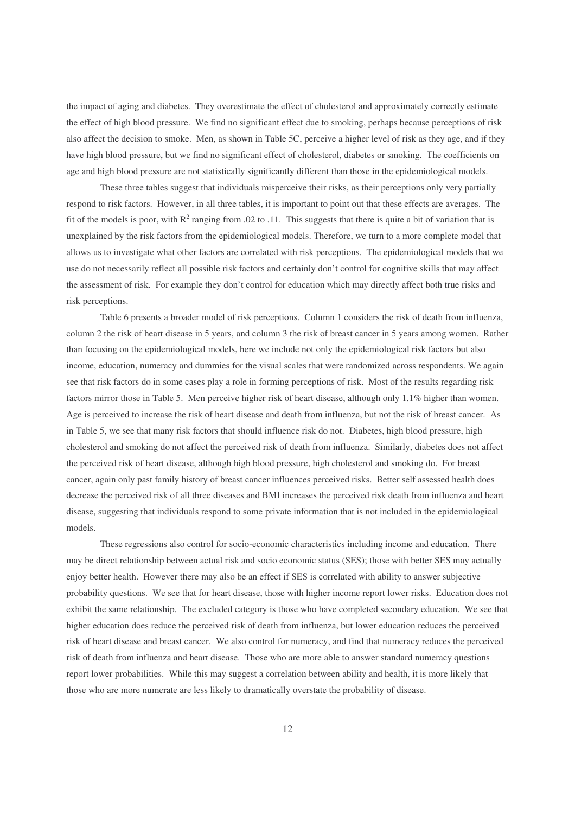the impact of aging and diabetes. They overestimate the effect of cholesterol and approximately correctly estimate the effect of high blood pressure. We find no significant effect due to smoking, perhaps because perceptions of risk also affect the decision to smoke. Men, as shown in Table 5C, perceive a higher level of risk as they age, and if they have high blood pressure, but we find no significant effect of cholesterol, diabetes or smoking. The coefficients on age and high blood pressure are not statistically significantly different than those in the epidemiological models.

These three tables suggest that individuals misperceive their risks, as their perceptions only very partially respond to risk factors. However, in all three tables, it is important to point out that these effects are averages. The fit of the models is poor, with  $R^2$  ranging from .02 to .11. This suggests that there is quite a bit of variation that is unexplained by the risk factors from the epidemiological models. Therefore, we turn to a more complete model that allows us to investigate what other factors are correlated with risk perceptions. The epidemiological models that we use do not necessarily reflect all possible risk factors and certainly don't control for cognitive skills that may affect the assessment of risk. For example they don't control for education which may directly affect both true risks and risk perceptions.

Table 6 presents a broader model of risk perceptions. Column 1 considers the risk of death from influenza, column 2 the risk of heart disease in 5 years, and column 3 the risk of breast cancer in 5 years among women. Rather than focusing on the epidemiological models, here we include not only the epidemiological risk factors but also income, education, numeracy and dummies for the visual scales that were randomized across respondents. We again see that risk factors do in some cases play a role in forming perceptions of risk. Most of the results regarding risk factors mirror those in Table 5. Men perceive higher risk of heart disease, although only 1.1% higher than women. Age is perceived to increase the risk of heart disease and death from influenza, but not the risk of breast cancer. As in Table 5, we see that many risk factors that should influence risk do not. Diabetes, high blood pressure, high cholesterol and smoking do not affect the perceived risk of death from influenza. Similarly, diabetes does not affect the perceived risk of heart disease, although high blood pressure, high cholesterol and smoking do. For breast cancer, again only past family history of breast cancer influences perceived risks. Better self assessed health does decrease the perceived risk of all three diseases and BMI increases the perceived risk death from influenza and heart disease, suggesting that individuals respond to some private information that is not included in the epidemiological models.

These regressions also control for socio-economic characteristics including income and education. There may be direct relationship between actual risk and socio economic status (SES); those with better SES may actually enjoy better health. However there may also be an effect if SES is correlated with ability to answer subjective probability questions. We see that for heart disease, those with higher income report lower risks. Education does not exhibit the same relationship. The excluded category is those who have completed secondary education. We see that higher education does reduce the perceived risk of death from influenza, but lower education reduces the perceived risk of heart disease and breast cancer. We also control for numeracy, and find that numeracy reduces the perceived risk of death from influenza and heart disease. Those who are more able to answer standard numeracy questions report lower probabilities. While this may suggest a correlation between ability and health, it is more likely that those who are more numerate are less likely to dramatically overstate the probability of disease.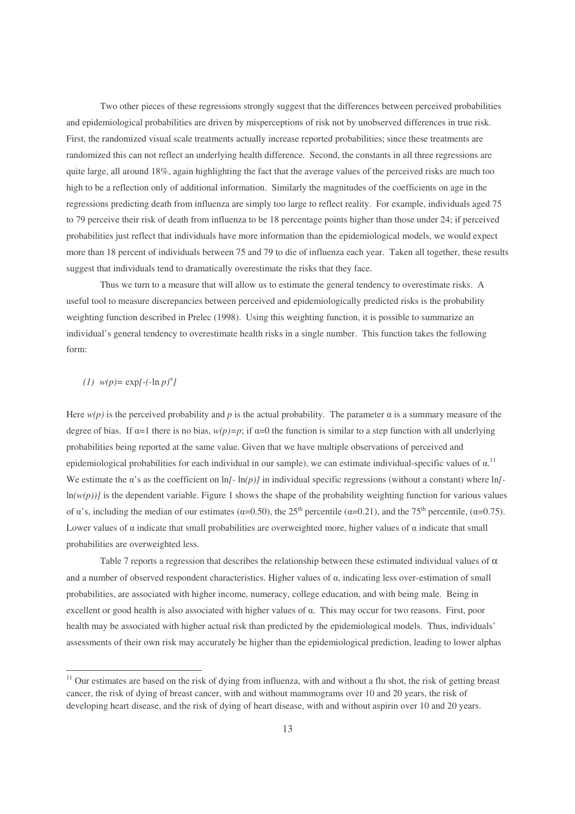Two other pieces of these regressions strongly suggest that the differences between perceived probabilities and epidemiological probabilities are driven by misperceptions of risk not by unobserved differences in true risk. First, the randomized visual scale treatments actually increase reported probabilities; since these treatments are randomized this can not reflect an underlying health difference. Second, the constants in all three regressions are quite large, all around 18%, again highlighting the fact that the average values of the perceived risks are much too high to be a reflection only of additional information. Similarly the magnitudes of the coefficients on age in the regressions predicting death from influenza are simply too large to reflect reality. For example, individuals aged 75 to 79 perceive their risk of death from influenza to be 18 percentage points higher than those under 24; if perceived probabilities just reflect that individuals have more information than the epidemiological models, we would expect more than 18 percent of individuals between 75 and 79 to die of influenza each year. Taken all together, these results suggest that individuals tend to dramatically overestimate the risks that they face.

Thus we turn to a measure that will allow us to estimate the general tendency to overestimate risks. A useful tool to measure discrepancies between perceived and epidemiologically predicted risks is the probability weighting function described in Prelec (1998). Using this weighting function, it is possible to summarize an individual's general tendency to overestimate health risks in a single number. This function takes the following form:

### (1)  $w(p) = \exp[-(\ln p)^{\alpha}]$

Here  $w(p)$  is the perceived probability and p is the actual probability. The parameter  $\alpha$  is a summary measure of the degree of bias. If  $\alpha=1$  there is no bias,  $w(p)=p$ ; if  $\alpha=0$  the function is similar to a step function with all underlying probabilities being reported at the same value. Given that we have multiple observations of perceived and epidemiological probabilities for each individual in our sample), we can estimate individual-specific values of  $\alpha$ .<sup>11</sup> We estimate the  $\alpha$ 's as the coefficient on ln $[-\ln(p)]$  in individual specific regressions (without a constant) where  $\ln[-\ln(p)]$  $ln(w(p))$  is the dependent variable. Figure 1 shows the shape of the probability weighting function for various values of  $\alpha$ 's, including the median of our estimates ( $\alpha$ =0.50), the 25<sup>th</sup> percentile ( $\alpha$ =0.21), and the 75<sup>th</sup> percentile, ( $\alpha$ =0.75). Lower values of  $\alpha$  indicate that small probabilities are overweighted more, higher values of  $\alpha$  indicate that small probabilities are overweighted less.

Table 7 reports a regression that describes the relationship between these estimated individual values of  $\alpha$ and a number of observed respondent characteristics. Higher values of  $\alpha$ , indicating less over-estimation of small probabilities, are associated with higher income, numeracy, college education, and with being male. Being in excellent or good health is also associated with higher values of  $\alpha$ . This may occur for two reasons. First, poor health may be associated with higher actual risk than predicted by the epidemiological models. Thus, individuals' assessments of their own risk may accurately be higher than the epidemiological prediction, leading to lower alphas

<sup>&</sup>lt;sup>11</sup> Our estimates are based on the risk of dying from influenza, with and without a flu shot, the risk of getting breast cancer, the risk of dying of breast cancer, with and without mammograms over 10 and 20 years, the risk of developing heart disease, and the risk of dying of heart disease, with and without aspirin over 10 and 20 years.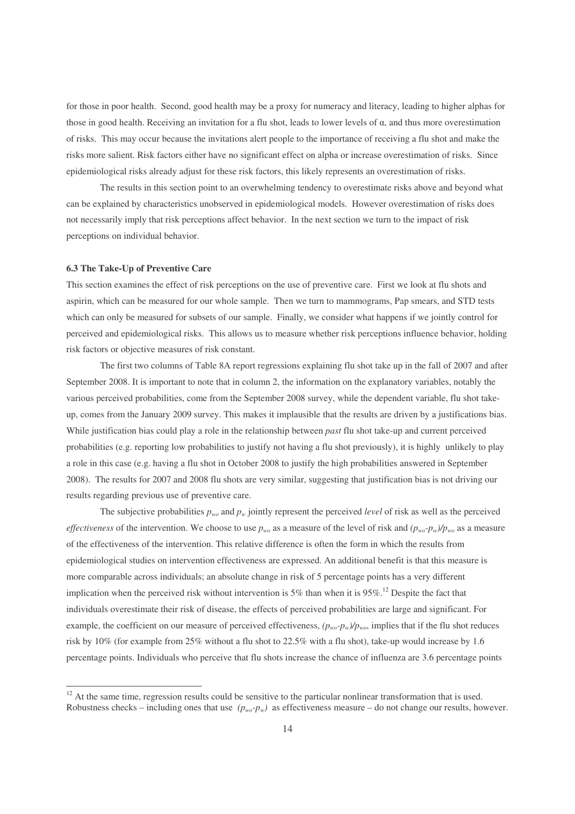for those in poor health. Second, good health may be a proxy for numeracy and literacy, leading to higher alphas for those in good health. Receiving an invitation for a flu shot, leads to lower levels of  $\alpha$ , and thus more overestimation of risks. This may occur because the invitations alert people to the importance of receiving a flu shot and make the risks more salient. Risk factors either have no significant effect on alpha or increase overestimation of risks. Since epidemiological risks already adjust for these risk factors, this likely represents an overestimation of risks.

The results in this section point to an overwhelming tendency to overestimate risks above and beyond what can be explained by characteristics unobserved in epidemiological models. However overestimation of risks does not necessarily imply that risk perceptions affect behavior. In the next section we turn to the impact of risk perceptions on individual behavior.

#### **6.3 The Take-Up of Preventive Care**

This section examines the effect of risk perceptions on the use of preventive care. First we look at flu shots and aspirin, which can be measured for our whole sample. Then we turn to mammograms, Pap smears, and STD tests which can only be measured for subsets of our sample. Finally, we consider what happens if we jointly control for perceived and epidemiological risks. This allows us to measure whether risk perceptions influence behavior, holding risk factors or objective measures of risk constant.

The first two columns of Table 8A report regressions explaining flu shot take up in the fall of 2007 and after September 2008. It is important to note that in column 2, the information on the explanatory variables, notably the various perceived probabilities, come from the September 2008 survey, while the dependent variable, flu shot takeup, comes from the January 2009 survey. This makes it implausible that the results are driven by a justifications bias. While justification bias could play a role in the relationship between *past* flu shot take-up and current perceived probabilities (e.g. reporting low probabilities to justify not having a flu shot previously), it is highly unlikely to play a role in this case (e.g. having a flu shot in October 2008 to justify the high probabilities answered in September 2008). The results for 2007 and 2008 flu shots are very similar, suggesting that justification bias is not driving our results regarding previous use of preventive care.

The subjective probabilities  $p_{wo}$  and  $p_w$  jointly represent the perceived *level* of risk as well as the perceived *effectiveness* of the intervention. We choose to use  $p_{wo}$  as a measure of the level of risk and  $(p_{wo} - p_w)/p_{wo}$  as a measure of the effectiveness of the intervention. This relative difference is often the form in which the results from epidemiological studies on intervention effectiveness are expressed. An additional benefit is that this measure is more comparable across individuals; an absolute change in risk of 5 percentage points has a very different implication when the perceived risk without intervention is 5% than when it is  $95\%$ .<sup>12</sup> Despite the fact that individuals overestimate their risk of disease, the effects of perceived probabilities are large and significant. For example, the coefficient on our measure of perceived effectiveness,  $(p_{wo} - p_w)/p_{wo}$ , implies that if the flu shot reduces risk by 10% (for example from 25% without a flu shot to 22.5% with a flu shot), take-up would increase by 1.6 percentage points. Individuals who perceive that flu shots increase the chance of influenza are 3.6 percentage points

 $12$  At the same time, regression results could be sensitive to the particular nonlinear transformation that is used. Robustness checks – including ones that use  $(p_{w0} - p_w)$  as effectiveness measure – do not change our results, however.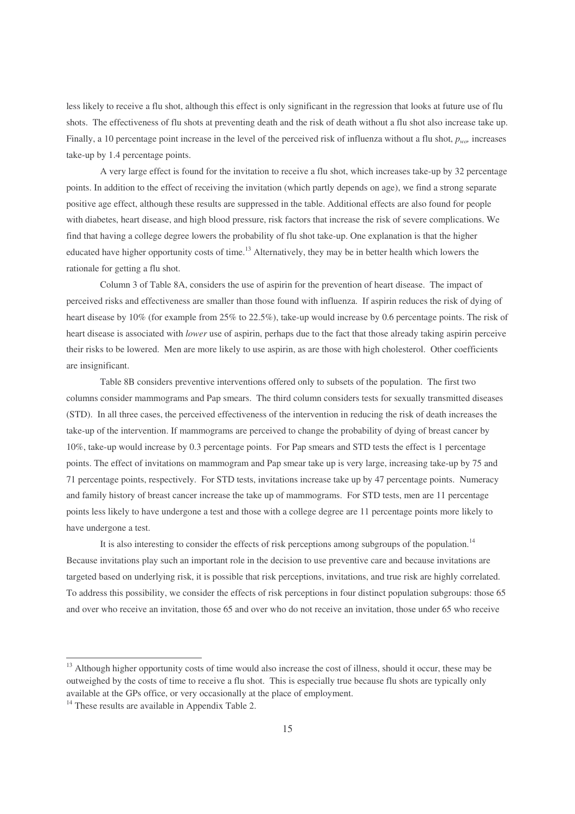less likely to receive a flu shot, although this effect is only significant in the regression that looks at future use of flu shots. The effectiveness of flu shots at preventing death and the risk of death without a flu shot also increase take up. Finally, a 10 percentage point increase in the level of the perceived risk of influenza without a flu shot, *pwo,* increases take-up by 1.4 percentage points.

A very large effect is found for the invitation to receive a flu shot, which increases take-up by 32 percentage points. In addition to the effect of receiving the invitation (which partly depends on age), we find a strong separate positive age effect, although these results are suppressed in the table. Additional effects are also found for people with diabetes, heart disease, and high blood pressure, risk factors that increase the risk of severe complications. We find that having a college degree lowers the probability of flu shot take-up. One explanation is that the higher educated have higher opportunity costs of time.<sup>13</sup> Alternatively, they may be in better health which lowers the rationale for getting a flu shot.

Column 3 of Table 8A, considers the use of aspirin for the prevention of heart disease. The impact of perceived risks and effectiveness are smaller than those found with influenza. If aspirin reduces the risk of dying of heart disease by 10% (for example from 25% to 22.5%), take-up would increase by 0.6 percentage points. The risk of heart disease is associated with *lower* use of aspirin, perhaps due to the fact that those already taking aspirin perceive their risks to be lowered. Men are more likely to use aspirin, as are those with high cholesterol. Other coefficients are insignificant.

Table 8B considers preventive interventions offered only to subsets of the population. The first two columns consider mammograms and Pap smears. The third column considers tests for sexually transmitted diseases (STD). In all three cases, the perceived effectiveness of the intervention in reducing the risk of death increases the take-up of the intervention. If mammograms are perceived to change the probability of dying of breast cancer by 10%, take-up would increase by 0.3 percentage points. For Pap smears and STD tests the effect is 1 percentage points. The effect of invitations on mammogram and Pap smear take up is very large, increasing take-up by 75 and 71 percentage points, respectively. For STD tests, invitations increase take up by 47 percentage points. Numeracy and family history of breast cancer increase the take up of mammograms. For STD tests, men are 11 percentage points less likely to have undergone a test and those with a college degree are 11 percentage points more likely to have undergone a test.

It is also interesting to consider the effects of risk perceptions among subgroups of the population.<sup>14</sup> Because invitations play such an important role in the decision to use preventive care and because invitations are targeted based on underlying risk, it is possible that risk perceptions, invitations, and true risk are highly correlated. To address this possibility, we consider the effects of risk perceptions in four distinct population subgroups: those 65 and over who receive an invitation, those 65 and over who do not receive an invitation, those under 65 who receive

<u> 1989 - Johann Stein, mars et al. 1989 - Anna ann an t-Anna ann an t-Anna ann an t-Anna ann an t-Anna ann an t-</u>

<sup>&</sup>lt;sup>13</sup> Although higher opportunity costs of time would also increase the cost of illness, should it occur, these may be outweighed by the costs of time to receive a flu shot. This is especially true because flu shots are typically only available at the GPs office, or very occasionally at the place of employment.

<sup>&</sup>lt;sup>14</sup> These results are available in Appendix Table 2.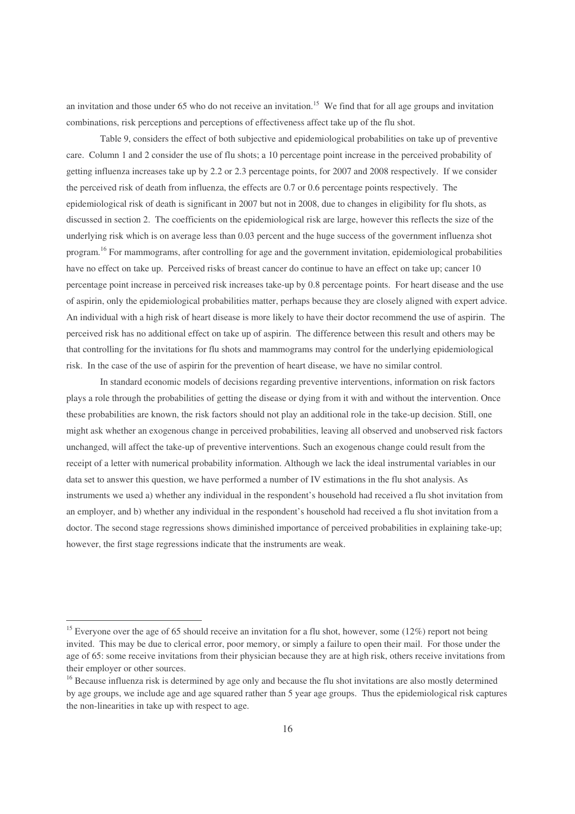an invitation and those under 65 who do not receive an invitation.<sup>15</sup> We find that for all age groups and invitation combinations, risk perceptions and perceptions of effectiveness affect take up of the flu shot.

Table 9, considers the effect of both subjective and epidemiological probabilities on take up of preventive care. Column 1 and 2 consider the use of flu shots; a 10 percentage point increase in the perceived probability of getting influenza increases take up by 2.2 or 2.3 percentage points, for 2007 and 2008 respectively. If we consider the perceived risk of death from influenza, the effects are 0.7 or 0.6 percentage points respectively. The epidemiological risk of death is significant in 2007 but not in 2008, due to changes in eligibility for flu shots, as discussed in section 2. The coefficients on the epidemiological risk are large, however this reflects the size of the underlying risk which is on average less than 0.03 percent and the huge success of the government influenza shot program.<sup>16</sup> For mammograms, after controlling for age and the government invitation, epidemiological probabilities have no effect on take up. Perceived risks of breast cancer do continue to have an effect on take up; cancer 10 percentage point increase in perceived risk increases take-up by 0.8 percentage points. For heart disease and the use of aspirin, only the epidemiological probabilities matter, perhaps because they are closely aligned with expert advice. An individual with a high risk of heart disease is more likely to have their doctor recommend the use of aspirin. The perceived risk has no additional effect on take up of aspirin. The difference between this result and others may be that controlling for the invitations for flu shots and mammograms may control for the underlying epidemiological risk. In the case of the use of aspirin for the prevention of heart disease, we have no similar control.

In standard economic models of decisions regarding preventive interventions, information on risk factors plays a role through the probabilities of getting the disease or dying from it with and without the intervention. Once these probabilities are known, the risk factors should not play an additional role in the take-up decision. Still, one might ask whether an exogenous change in perceived probabilities, leaving all observed and unobserved risk factors unchanged, will affect the take-up of preventive interventions. Such an exogenous change could result from the receipt of a letter with numerical probability information. Although we lack the ideal instrumental variables in our data set to answer this question, we have performed a number of IV estimations in the flu shot analysis. As instruments we used a) whether any individual in the respondent's household had received a flu shot invitation from an employer, and b) whether any individual in the respondent's household had received a flu shot invitation from a doctor. The second stage regressions shows diminished importance of perceived probabilities in explaining take-up; however, the first stage regressions indicate that the instruments are weak.

<sup>&</sup>lt;sup>15</sup> Everyone over the age of 65 should receive an invitation for a flu shot, however, some (12%) report not being invited. This may be due to clerical error, poor memory, or simply a failure to open their mail. For those under the age of 65: some receive invitations from their physician because they are at high risk, others receive invitations from their employer or other sources.

<sup>&</sup>lt;sup>16</sup> Because influenza risk is determined by age only and because the flu shot invitations are also mostly determined by age groups, we include age and age squared rather than 5 year age groups. Thus the epidemiological risk captures the non-linearities in take up with respect to age.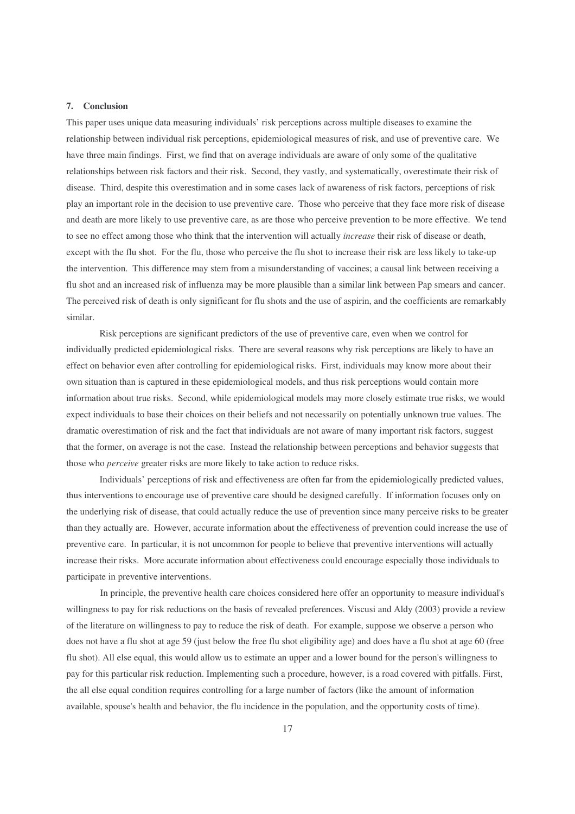#### **7. Conclusion**

This paper uses unique data measuring individuals' risk perceptions across multiple diseases to examine the relationship between individual risk perceptions, epidemiological measures of risk, and use of preventive care. We have three main findings. First, we find that on average individuals are aware of only some of the qualitative relationships between risk factors and their risk. Second, they vastly, and systematically, overestimate their risk of disease. Third, despite this overestimation and in some cases lack of awareness of risk factors, perceptions of risk play an important role in the decision to use preventive care. Those who perceive that they face more risk of disease and death are more likely to use preventive care, as are those who perceive prevention to be more effective. We tend to see no effect among those who think that the intervention will actually *increase* their risk of disease or death, except with the flu shot. For the flu, those who perceive the flu shot to increase their risk are less likely to take-up the intervention. This difference may stem from a misunderstanding of vaccines; a causal link between receiving a flu shot and an increased risk of influenza may be more plausible than a similar link between Pap smears and cancer. The perceived risk of death is only significant for flu shots and the use of aspirin, and the coefficients are remarkably similar.

Risk perceptions are significant predictors of the use of preventive care, even when we control for individually predicted epidemiological risks. There are several reasons why risk perceptions are likely to have an effect on behavior even after controlling for epidemiological risks. First, individuals may know more about their own situation than is captured in these epidemiological models, and thus risk perceptions would contain more information about true risks. Second, while epidemiological models may more closely estimate true risks, we would expect individuals to base their choices on their beliefs and not necessarily on potentially unknown true values. The dramatic overestimation of risk and the fact that individuals are not aware of many important risk factors, suggest that the former, on average is not the case. Instead the relationship between perceptions and behavior suggests that those who *perceive* greater risks are more likely to take action to reduce risks.

Individuals' perceptions of risk and effectiveness are often far from the epidemiologically predicted values, thus interventions to encourage use of preventive care should be designed carefully. If information focuses only on the underlying risk of disease, that could actually reduce the use of prevention since many perceive risks to be greater than they actually are. However, accurate information about the effectiveness of prevention could increase the use of preventive care. In particular, it is not uncommon for people to believe that preventive interventions will actually increase their risks. More accurate information about effectiveness could encourage especially those individuals to participate in preventive interventions.

In principle, the preventive health care choices considered here offer an opportunity to measure individual's willingness to pay for risk reductions on the basis of revealed preferences. Viscusi and Aldy (2003) provide a review of the literature on willingness to pay to reduce the risk of death. For example, suppose we observe a person who does not have a flu shot at age 59 (just below the free flu shot eligibility age) and does have a flu shot at age 60 (free flu shot). All else equal, this would allow us to estimate an upper and a lower bound for the person's willingness to pay for this particular risk reduction. Implementing such a procedure, however, is a road covered with pitfalls. First, the all else equal condition requires controlling for a large number of factors (like the amount of information available, spouse's health and behavior, the flu incidence in the population, and the opportunity costs of time).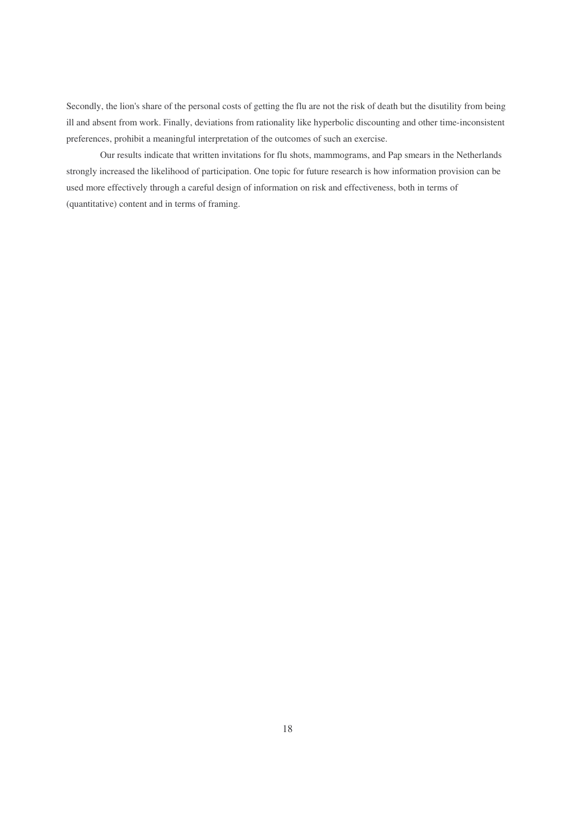Secondly, the lion's share of the personal costs of getting the flu are not the risk of death but the disutility from being ill and absent from work. Finally, deviations from rationality like hyperbolic discounting and other time-inconsistent preferences, prohibit a meaningful interpretation of the outcomes of such an exercise.

Our results indicate that written invitations for flu shots, mammograms, and Pap smears in the Netherlands strongly increased the likelihood of participation. One topic for future research is how information provision can be used more effectively through a careful design of information on risk and effectiveness, both in terms of (quantitative) content and in terms of framing.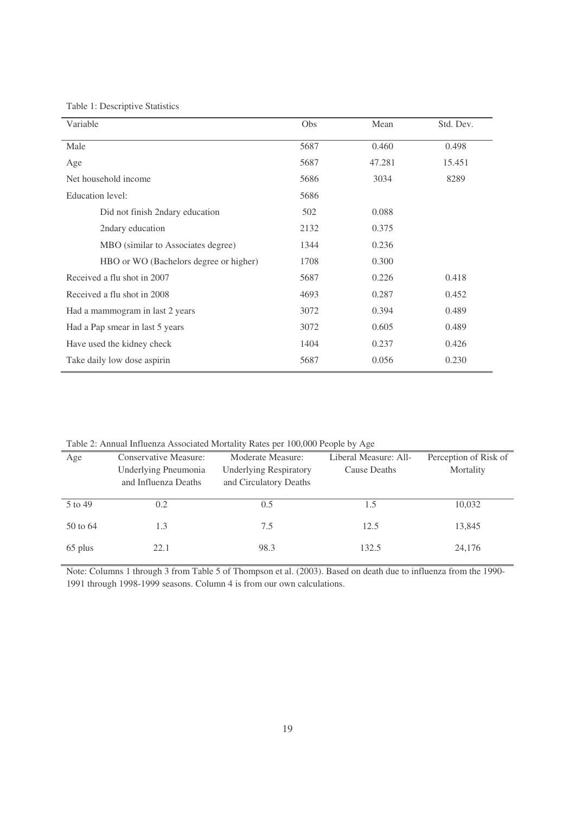Table 1: Descriptive Statistics

| Variable                               | Obs  | Mean   | Std. Dev. |
|----------------------------------------|------|--------|-----------|
| Male                                   | 5687 | 0.460  | 0.498     |
| Age                                    | 5687 | 47.281 | 15.451    |
| Net household income                   | 5686 | 3034   | 8289      |
| Education level:                       | 5686 |        |           |
| Did not finish 2ndary education        | 502  | 0.088  |           |
| 2ndary education                       | 2132 | 0.375  |           |
| MBO (similar to Associates degree)     | 1344 | 0.236  |           |
| HBO or WO (Bachelors degree or higher) | 1708 | 0.300  |           |
| Received a flu shot in 2007            | 5687 | 0.226  | 0.418     |
| Received a flu shot in 2008            | 4693 | 0.287  | 0.452     |
| Had a mammogram in last 2 years        | 3072 | 0.394  | 0.489     |
| Had a Pap smear in last 5 years        | 3072 | 0.605  | 0.489     |
| Have used the kidney check             | 1404 | 0.237  | 0.426     |
| Take daily low dose aspirin            | 5687 | 0.056  | 0.230     |

Table 2: Annual Influenza Associated Mortality Rates per 100,000 People by Age

|          | $\mathbf{r}$ and $\mathbf{r}$ are a set $\mathbf{r}$ and $\mathbf{r}$ and $\mathbf{r}$ are $\mathbf{r}$ are $\mathbf{r}$ and $\mathbf{r}$ and $\mathbf{r}$ are $\mathbf{r}$ and $\mathbf{r}$ are $\mathbf{r}$ and $\mathbf{r}$ are $\mathbf{r}$ and $\mathbf{r}$ and $\mathbf{r}$ are $\mathbf{r}$ |                               |                       |                       |
|----------|----------------------------------------------------------------------------------------------------------------------------------------------------------------------------------------------------------------------------------------------------------------------------------------------------|-------------------------------|-----------------------|-----------------------|
| Age      | <b>Conservative Measure:</b>                                                                                                                                                                                                                                                                       | Moderate Measure:             | Liberal Measure: All- | Perception of Risk of |
|          | Underlying Pneumonia                                                                                                                                                                                                                                                                               | <b>Underlying Respiratory</b> | Cause Deaths          | Mortality             |
|          | and Influenza Deaths                                                                                                                                                                                                                                                                               | and Circulatory Deaths        |                       |                       |
|          |                                                                                                                                                                                                                                                                                                    |                               |                       |                       |
| 5 to 49  | 0.2                                                                                                                                                                                                                                                                                                | 0.5                           | 1.5                   | 10,032                |
| 50 to 64 | 1.3                                                                                                                                                                                                                                                                                                | 7.5                           | 12.5                  | 13,845                |
|          |                                                                                                                                                                                                                                                                                                    |                               |                       |                       |
| 65 plus  | 22.1                                                                                                                                                                                                                                                                                               | 98.3                          | 132.5                 | 24,176                |
|          |                                                                                                                                                                                                                                                                                                    |                               |                       |                       |

Note: Columns 1 through 3 from Table 5 of Thompson et al. (2003). Based on death due to influenza from the 1990- 1991 through 1998-1999 seasons. Column 4 is from our own calculations.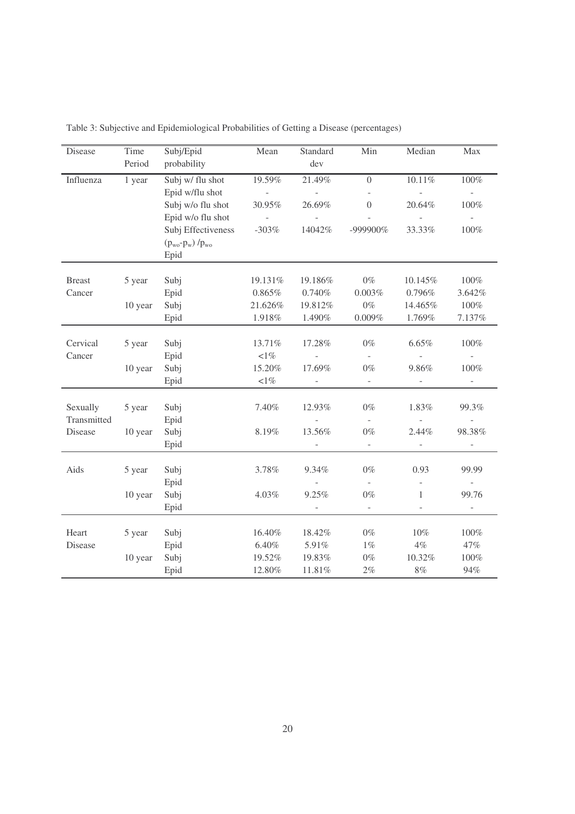| Disease       | Time    | Subj/Epid                     | Mean                | Standard                 | Min                      | Median                   | Max                      |
|---------------|---------|-------------------------------|---------------------|--------------------------|--------------------------|--------------------------|--------------------------|
|               | Period  | probability                   |                     | dev                      |                          |                          |                          |
| Influenza     | 1 year  | Subj w/ flu shot              | 19.59%              | 21.49%                   | $\overline{0}$           | $10.11\%$                | $100\%$                  |
|               |         | Epid w/flu shot               | $\Box$              | $\overline{\phantom{a}}$ |                          |                          | $\overline{\phantom{a}}$ |
|               |         | Subj w/o flu shot             | 30.95%              | 26.69%                   | $\boldsymbol{0}$         | 20.64%                   | 100%                     |
|               |         | Epid w/o flu shot             | $\bar{\phantom{a}}$ | $\mathbf{r}$             |                          | $\overline{a}$           | $\overline{a}$           |
|               |         | Subj Effectiveness            | $-303%$             | 14042%                   | -999900%                 | 33.33%                   | 100%                     |
|               |         | $(p_{wo}$ - $p_w)$ / $p_{wo}$ |                     |                          |                          |                          |                          |
|               |         | Epid                          |                     |                          |                          |                          |                          |
|               |         |                               |                     |                          |                          |                          |                          |
| <b>Breast</b> | 5 year  | Subj                          | 19.131%             | 19.186%                  | $0\%$                    | 10.145%                  | $100\%$                  |
| Cancer        |         | Epid                          | $0.865\%$           | $0.740\%$                | $0.003\%$                | 0.796%                   | 3.642%                   |
|               | 10 year | Subj                          | 21.626%             | 19.812%                  | $0\%$                    | 14.465%                  | $100\%$                  |
|               |         | Epid                          | 1.918%              | 1.490%                   | $0.009\%$                | 1.769%                   | 7.137%                   |
|               |         |                               |                     |                          |                          |                          |                          |
| Cervical      | 5 year  | Subj                          | 13.71%              | 17.28%                   | $0\%$                    | 6.65%                    | 100%                     |
| Cancer        |         | Epid                          | ${<}1\%$            |                          | $\overline{\phantom{a}}$ |                          |                          |
|               | 10 year | Subj                          | 15.20%              | 17.69%                   | $0\%$                    | 9.86%                    | 100%                     |
|               |         | Epid                          | ${<}1\%$            |                          | $\omega$                 | $\overline{\phantom{a}}$ |                          |
|               |         |                               |                     |                          |                          |                          |                          |
| Sexually      | 5 year  | Subj                          | 7.40%               | 12.93%                   | $0\%$                    | 1.83%                    | 99.3%                    |
| Transmitted   |         | Epid                          |                     |                          | $\omega$                 |                          | $\overline{\phantom{a}}$ |
| Disease       | 10 year | Subj                          | 8.19%               | 13.56%                   | $0\%$                    | 2.44%                    | 98.38%                   |
|               |         | Epid                          |                     |                          | $\overline{\phantom{a}}$ | $\overline{\phantom{0}}$ |                          |
| Aids          | 5 year  | Subj                          | 3.78%               | 9.34%                    | $0\%$                    | 0.93                     | 99.99                    |
|               |         | Epid                          |                     |                          | $\sim$                   | $\overline{\phantom{0}}$ | $\overline{a}$           |
|               | 10 year | Subj                          | 4.03%               | 9.25%                    | $0\%$                    | $\mathbf{1}$             | 99.76                    |
|               |         | Epid                          |                     |                          | $\equiv$                 | $\overline{\phantom{0}}$ | $\overline{\phantom{a}}$ |
|               |         |                               |                     |                          |                          |                          |                          |
| Heart         | 5 year  | Subj                          | 16.40%              | 18.42%                   | $0\%$                    | $10\%$                   | 100%                     |
| Disease       |         | Epid                          | 6.40%               | 5.91%                    | $1\%$                    | $4\%$                    | 47%                      |
|               | 10 year | Subj                          | 19.52%              | 19.83%                   | $0\%$                    | 10.32%                   | 100%                     |
|               |         | Epid                          | 12.80%              | $11.81\%$                | $2\%$                    | $8\%$                    | 94%                      |
|               |         |                               |                     |                          |                          |                          |                          |

Table 3: Subjective and Epidemiological Probabilities of Getting a Disease (percentages)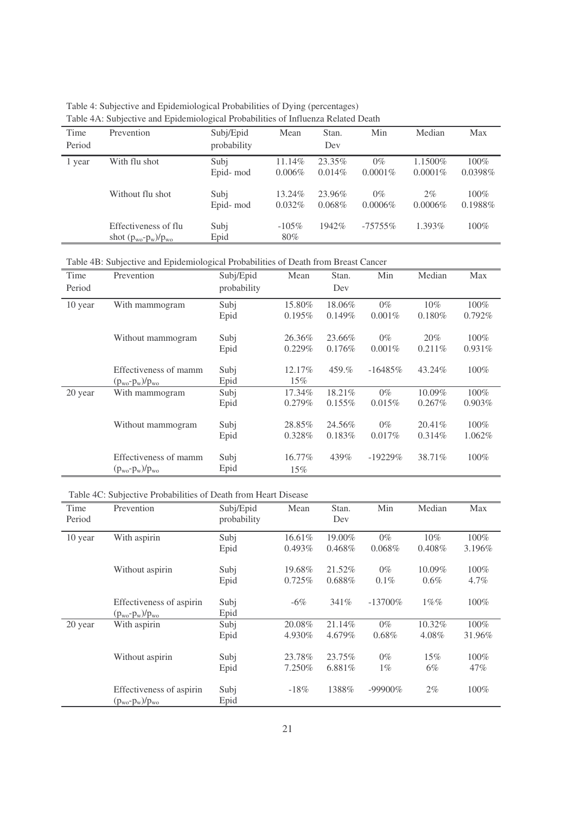Table 4: Subjective and Epidemiological Probabilities of Dying (percentages) Table 4A: Subjective and Epidemiological Probabilities of Influenza Related Death

| Time<br>Period | Tuble 111. Dubletti e and Epidemiological I robublitics of influenza related Death<br>Prevention | Subj/Epid<br>probability | Mean                | Stan.<br>Dev        | Min                 | Median                 | Max                 |
|----------------|--------------------------------------------------------------------------------------------------|--------------------------|---------------------|---------------------|---------------------|------------------------|---------------------|
| 1 year         | With flu shot                                                                                    | Subj<br>Epid-mod         | 11.14%<br>$0.006\%$ | 23.35%<br>$0.014\%$ | $0\%$<br>$0.0001\%$ | 1.1500\%<br>$0.0001\%$ | $100\%$<br>0.0398%  |
|                | Without flu shot                                                                                 | Subi<br>Epid-mod         | 13.24%<br>$0.032\%$ | 23.96%<br>$0.068\%$ | $0\%$<br>$0.0006\%$ | $2\%$<br>$0.0006\%$    | $100\%$<br>0.1988\% |
|                | Effectiveness of flu<br>shot $(p_{wo} - p_w)/p_{wo}$                                             | Subj<br>Epid             | $-105\%$<br>80%     | 1942\%              | $-75755\%$          | $1.393\%$              | $100\%$             |

Table 4B: Subjective and Epidemiological Probabilities of Death from Breast Cancer

| Time    | Prevention              | Subj/Epid   | Mean   | Stan.  | Min        | Median    | Max       |
|---------|-------------------------|-------------|--------|--------|------------|-----------|-----------|
| Period  |                         | probability |        | Dev    |            |           |           |
| 10 year | With mammogram          | Subj        | 15.80% | 18.06% | $0\%$      | $10\%$    | 100%      |
|         |                         | Epid        | 0.195% | 0.149% | $0.001\%$  | $0.180\%$ | $0.792\%$ |
|         | Without mammogram       | Subj        | 26.36% | 23.66% | $0\%$      | 20%       | $100\%$   |
|         |                         | Epid        | 0.229% | 0.176% | $0.001\%$  | 0.211%    | $0.931\%$ |
|         | Effectiveness of mamm   | Subj        | 12.17% | 459.%  | $-16485\%$ | 43.24%    | 100%      |
|         | $(p_{wo} - p_w)/p_{wo}$ | Epid        | 15%    |        |            |           |           |
| 20 year | With mammogram          | Subj        | 17.34% | 18.21% | $0\%$      | 10.09%    | $100\%$   |
|         |                         | Epid        | 0.279% | 0.155% | 0.015%     | $0.267\%$ | $0.903\%$ |
|         | Without mammogram       | Subj        | 28.85% | 24.56% | $0\%$      | 20.41%    | $100\%$   |
|         |                         | Epid        | 0.328% | 0.183% | 0.017%     | 0.314%    | 1.062\%   |
|         | Effectiveness of mamm   | Subj        | 16.77% | 439%   | $-19229%$  | 38.71%    | $100\%$   |
|         | $(p_{wo} - p_w)/p_{wo}$ | Epid        | 15%    |        |            |           |           |

### Table 4C: Subjective Probabilities of Death from Heart Disease

| Time<br>Period | Prevention                                            | Subj/Epid<br>probability | Mean                | Stan.<br>Dev        | Min                | Median              | Max                |
|----------------|-------------------------------------------------------|--------------------------|---------------------|---------------------|--------------------|---------------------|--------------------|
| 10 year        | With aspirin                                          | Subj<br>Epid             | 16.61%<br>$0.493\%$ | 19.00%<br>$0.468\%$ | $0\%$<br>$0.068\%$ | $10\%$<br>$0.408\%$ | 100%<br>3.196%     |
|                | Without aspirin                                       | Subj<br>Epid             | 19.68%<br>0.725%    | 21.52%<br>$0.688\%$ | $0\%$<br>$0.1\%$   | 10.09%<br>$0.6\%$   | $100\%$<br>$4.7\%$ |
|                | Effectiveness of aspirin<br>$(p_{wo} - p_{w})/p_{wo}$ | Subj<br>Epid             | $-6\%$              | 341%                | $-13700\%$         | $1\%$ %             | $100\%$            |
| 20 year        | With aspirin                                          | Subj<br>Epid             | 20.08%<br>4.930%    | 21.14%<br>4.679%    | $0\%$<br>$0.68\%$  | 10.32%<br>4.08%     | $100\%$<br>31.96%  |
|                | Without aspirin                                       | Subj<br>Epid             | 23.78%<br>7.250%    | $23.75\%$<br>6.881% | $0\%$<br>$1\%$     | 15%<br>6%           | 100%<br>$47\%$     |
|                | Effectiveness of aspirin<br>$(p_{wo}$ - $p_w)/p_{wo}$ | Subj<br>Epid             | $-18%$              | 1388%               | $-99900\%$         | $2\%$               | 100%               |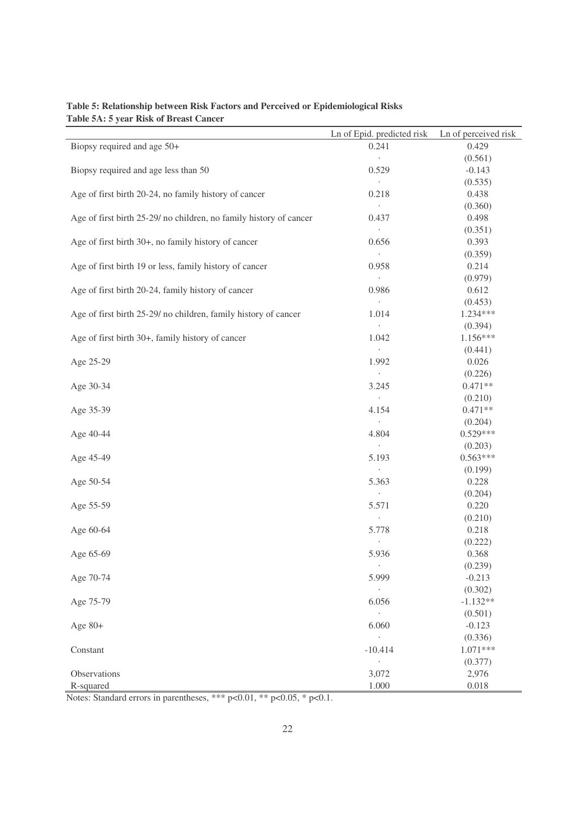|                                                                    | Ln of Epid. predicted risk | Ln of perceived risk |
|--------------------------------------------------------------------|----------------------------|----------------------|
| Biopsy required and age 50+                                        | 0.241                      | 0.429                |
|                                                                    | $\ddot{\phantom{0}}$       | (0.561)              |
| Biopsy required and age less than 50                               | 0.529                      | $-0.143$             |
|                                                                    | $\cdot$                    | (0.535)              |
| Age of first birth 20-24, no family history of cancer              | 0.218                      | 0.438                |
|                                                                    | $\bullet$                  | (0.360)              |
| Age of first birth 25-29/ no children, no family history of cancer | 0.437                      | 0.498                |
|                                                                    | $\ddot{\phantom{0}}$       | (0.351)              |
| Age of first birth 30+, no family history of cancer                | 0.656                      | 0.393                |
|                                                                    | $\sim$                     | (0.359)              |
| Age of first birth 19 or less, family history of cancer            | 0.958                      | 0.214                |
|                                                                    | $\bullet$                  | (0.979)              |
| Age of first birth 20-24, family history of cancer                 | 0.986                      | 0.612                |
|                                                                    | $\sim$                     | (0.453)              |
| Age of first birth 25-29/ no children, family history of cancer    | 1.014                      | 1.234***             |
|                                                                    | $\cdot$                    | (0.394)              |
| Age of first birth 30+, family history of cancer                   | 1.042                      | 1.156***             |
|                                                                    | $\cdot$                    | (0.441)              |
| Age 25-29                                                          | 1.992<br>$\cdot$           | 0.026                |
| Age 30-34                                                          | 3.245                      | (0.226)<br>$0.471**$ |
|                                                                    | $\cdot$                    | (0.210)              |
| Age 35-39                                                          | 4.154                      | $0.471**$            |
|                                                                    | $\ddot{\phantom{0}}$       | (0.204)              |
| Age 40-44                                                          | 4.804                      | $0.529***$           |
|                                                                    | $\Box$                     | (0.203)              |
| Age 45-49                                                          | 5.193                      | $0.563***$           |
|                                                                    | $\cdot$                    | (0.199)              |
| Age 50-54                                                          | 5.363                      | 0.228                |
|                                                                    | $\cdot$                    | (0.204)              |
| Age 55-59                                                          | 5.571                      | 0.220                |
|                                                                    |                            | (0.210)              |
| Age 60-64                                                          | 5.778                      | 0.218                |
|                                                                    |                            | (0.222)              |
| Age 65-69                                                          | 5.936                      | 0.368                |
|                                                                    | $\cdot$                    | (0.239)              |
| Age 70-74                                                          | 5.999                      | $-0.213$             |
|                                                                    |                            | (0.302)              |
| Age 75-79                                                          | 6.056                      | $-1.132**$           |
|                                                                    | $\ddot{\phantom{0}}$       | (0.501)              |
| Age $80+$                                                          | 6.060                      | $-0.123$             |
|                                                                    | $\epsilon$                 | (0.336)              |
| Constant                                                           | $-10.414$                  | $1.071***$           |
|                                                                    | $\cdot$                    | (0.377)              |
| Observations                                                       | 3,072                      | 2,976                |
| R-squared                                                          | 1.000                      | 0.018                |

### **Table 5: Relationship between Risk Factors and Perceived or Epidemiological Risks Table 5A: 5 year Risk of Breast Cancer**

Notes: Standard errors in parentheses, \*\*\* p<0.01, \*\* p<0.05, \* p<0.1.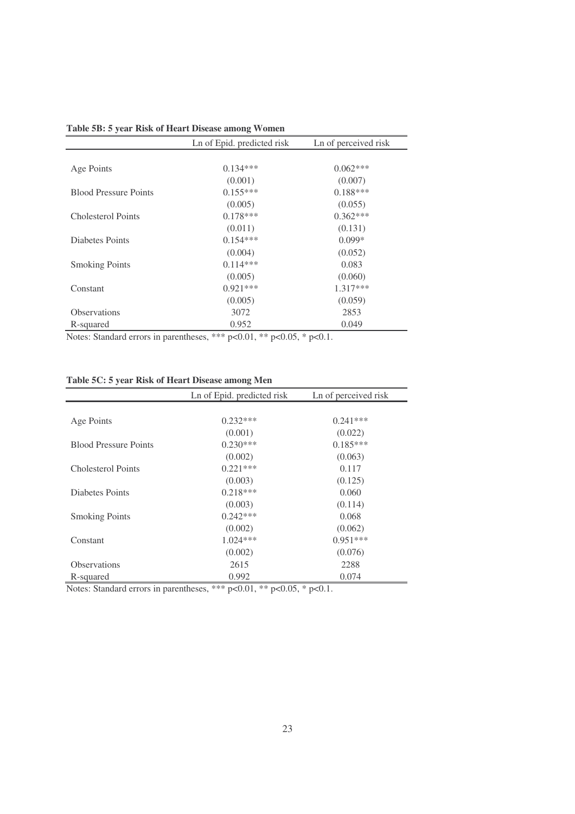| Ln of Epid. predicted risk | Ln of perceived risk                                                                          |
|----------------------------|-----------------------------------------------------------------------------------------------|
|                            |                                                                                               |
| $0.134***$                 | $0.062***$                                                                                    |
| (0.001)                    | (0.007)                                                                                       |
| $0.155***$                 | $0.188***$                                                                                    |
| (0.005)                    | (0.055)                                                                                       |
| $0.178***$                 | $0.362***$                                                                                    |
| (0.011)                    | (0.131)                                                                                       |
| $0.154***$                 | $0.099*$                                                                                      |
| (0.004)                    | (0.052)                                                                                       |
| $0.114***$                 | 0.083                                                                                         |
| (0.005)                    | (0.060)                                                                                       |
| $0.921***$                 | 1.317***                                                                                      |
| (0.005)                    | (0.059)                                                                                       |
| 3072                       | 2853                                                                                          |
| 0.952                      | 0.049                                                                                         |
|                            | مالد مالد مالد<br>ماله ماله<br>$\bigcap \bigcap \mathcal{C}$<br>$-1$<br>$\bigcap$ $\bigcap$ 1 |

**Table 5B: 5 year Risk of Heart Disease among Women**

Notes: Standard errors in parentheses, \*\*\* p<0.01, \*\* p<0.05, \* p<0.1.

| Table 5C: 5 year Risk of Heart Disease among Men |  |  |  |
|--------------------------------------------------|--|--|--|
|--------------------------------------------------|--|--|--|

|                              | Ln of Epid. predicted risk | Ln of perceived risk |
|------------------------------|----------------------------|----------------------|
|                              |                            |                      |
| Age Points                   | $0.232***$                 | $0.241***$           |
|                              | (0.001)                    | (0.022)              |
| <b>Blood Pressure Points</b> | $0.230***$                 | $0.185***$           |
|                              | (0.002)                    | (0.063)              |
| Cholesterol Points           | $0.221***$                 | 0.117                |
|                              | (0.003)                    | (0.125)              |
| Diabetes Points              | $0.218***$                 | 0.060                |
|                              | (0.003)                    | (0.114)              |
| <b>Smoking Points</b>        | $0.242***$                 | 0.068                |
|                              | (0.002)                    | (0.062)              |
| Constant                     | $1.024***$                 | $0.951***$           |
|                              | (0.002)                    | (0.076)              |
| <b>Observations</b>          | 2615                       | 2288                 |
| R-squared                    | 0.992                      | 0.074                |

Notes: Standard errors in parentheses, \*\*\* p<0.01, \*\* p<0.05, \* p<0.1.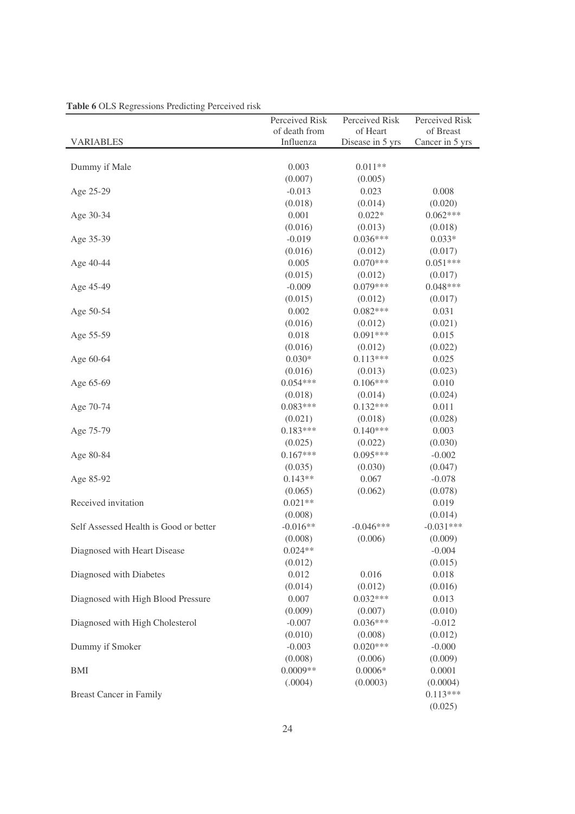| <b>Table 6</b> OLS Regressions Freueing Ference HSK | Perceived Risk | Perceived Risk   | Perceived Risk  |
|-----------------------------------------------------|----------------|------------------|-----------------|
|                                                     | of death from  | of Heart         | of Breast       |
| <b>VARIABLES</b>                                    | Influenza      | Disease in 5 yrs | Cancer in 5 yrs |
|                                                     |                |                  |                 |
| Dummy if Male                                       | 0.003          | $0.011**$        |                 |
|                                                     | (0.007)        | (0.005)          |                 |
| Age 25-29                                           | $-0.013$       | 0.023            | 0.008           |
|                                                     | (0.018)        | (0.014)          | (0.020)         |
| Age 30-34                                           | 0.001          | $0.022*$         | $0.062***$      |
|                                                     | (0.016)        | (0.013)          | (0.018)         |
| Age 35-39                                           | $-0.019$       | $0.036***$       | $0.033*$        |
|                                                     | (0.016)        | (0.012)          | (0.017)         |
| Age 40-44                                           | 0.005          | $0.070***$       | $0.051***$      |
|                                                     | (0.015)        | (0.012)          | (0.017)         |
| Age 45-49                                           | $-0.009$       | $0.079***$       | $0.048***$      |
|                                                     | (0.015)        | (0.012)          | (0.017)         |
| Age 50-54                                           | 0.002          | $0.082***$       | 0.031           |
|                                                     | (0.016)        | (0.012)          | (0.021)         |
| Age 55-59                                           | 0.018          | $0.091***$       | 0.015           |
|                                                     | (0.016)        | (0.012)          | (0.022)         |
| Age 60-64                                           | $0.030*$       | $0.113***$       | 0.025           |
|                                                     | (0.016)        | (0.013)          | (0.023)         |
| Age 65-69                                           | $0.054***$     | $0.106***$       | 0.010           |
|                                                     | (0.018)        | (0.014)          | (0.024)         |
| Age 70-74                                           | $0.083***$     | $0.132***$       | 0.011           |
|                                                     | (0.021)        | (0.018)          | (0.028)         |
| Age 75-79                                           | $0.183***$     | $0.140***$       | 0.003           |
|                                                     | (0.025)        | (0.022)          | (0.030)         |
| Age 80-84                                           | $0.167***$     | $0.095***$       | $-0.002$        |
|                                                     | (0.035)        | (0.030)          | (0.047)         |
| Age 85-92                                           | $0.143**$      | 0.067            | $-0.078$        |
|                                                     | (0.065)        | (0.062)          | (0.078)         |
| Received invitation                                 | $0.021**$      |                  | 0.019           |
|                                                     | (0.008)        |                  | (0.014)         |
| Self Assessed Health is Good or better              | $-0.016**$     | $-0.046***$      | $-0.031***$     |
|                                                     | (0.008)        | (0.006)          | (0.009)         |
| Diagnosed with Heart Disease                        | $0.024**$      |                  | $-0.004$        |
|                                                     | (0.012)        |                  | (0.015)         |
| Diagnosed with Diabetes                             | 0.012          | 0.016            | 0.018           |
|                                                     | (0.014)        | (0.012)          | (0.016)         |
| Diagnosed with High Blood Pressure                  | 0.007          | $0.032***$       | 0.013           |
|                                                     | (0.009)        | (0.007)          | (0.010)         |
| Diagnosed with High Cholesterol                     | $-0.007$       | $0.036***$       | $-0.012$        |
|                                                     | (0.010)        | (0.008)          | (0.012)         |
| Dummy if Smoker                                     | $-0.003$       | $0.020***$       | $-0.000$        |
|                                                     | (0.008)        | (0.006)          | (0.009)         |
| BMI                                                 | $0.0009**$     | $0.0006*$        | 0.0001          |
|                                                     | (.0004)        | (0.0003)         | (0.0004)        |
| <b>Breast Cancer in Family</b>                      |                |                  | $0.113***$      |
|                                                     |                |                  | (0.025)         |

|  |  |  |  | Table 6 OLS Regressions Predicting Perceived risk |  |
|--|--|--|--|---------------------------------------------------|--|
|--|--|--|--|---------------------------------------------------|--|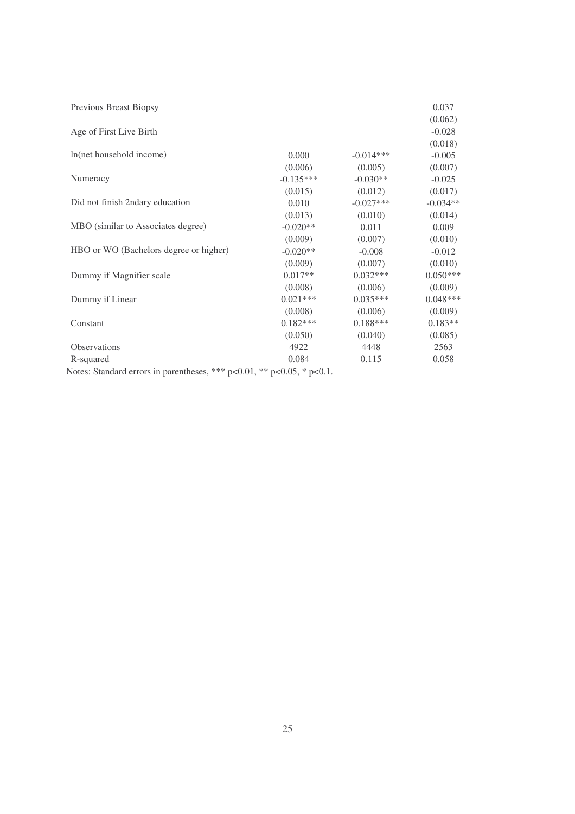| Previous Breast Biopsy                 |             |             | 0.037      |
|----------------------------------------|-------------|-------------|------------|
|                                        |             |             | (0.062)    |
| Age of First Live Birth                |             |             | $-0.028$   |
|                                        |             |             | (0.018)    |
| In(net household income)               | 0.000       | $-0.014***$ | $-0.005$   |
|                                        | (0.006)     | (0.005)     | (0.007)    |
| Numeracy                               | $-0.135***$ | $-0.030**$  | $-0.025$   |
|                                        | (0.015)     | (0.012)     | (0.017)    |
| Did not finish 2ndary education        | 0.010       | $-0.027***$ | $-0.034**$ |
|                                        | (0.013)     | (0.010)     | (0.014)    |
| MBO (similar to Associates degree)     | $-0.020**$  | 0.011       | 0.009      |
|                                        | (0.009)     | (0.007)     | (0.010)    |
| HBO or WO (Bachelors degree or higher) | $-0.020**$  | $-0.008$    | $-0.012$   |
|                                        | (0.009)     | (0.007)     | (0.010)    |
| Dummy if Magnifier scale               | $0.017**$   | $0.032***$  | $0.050***$ |
|                                        | (0.008)     | (0.006)     | (0.009)    |
| Dummy if Linear                        | $0.021***$  | $0.035***$  | $0.048***$ |
|                                        | (0.008)     | (0.006)     | (0.009)    |
| Constant                               | $0.182***$  | $0.188***$  | $0.183**$  |
|                                        | (0.050)     | (0.040)     | (0.085)    |
| <b>Observations</b>                    | 4922        | 4448        | 2563       |
| R-squared                              | 0.084       | 0.115       | 0.058      |

Notes: Standard errors in parentheses, \*\*\* p<0.01, \*\* p<0.05, \* p<0.1.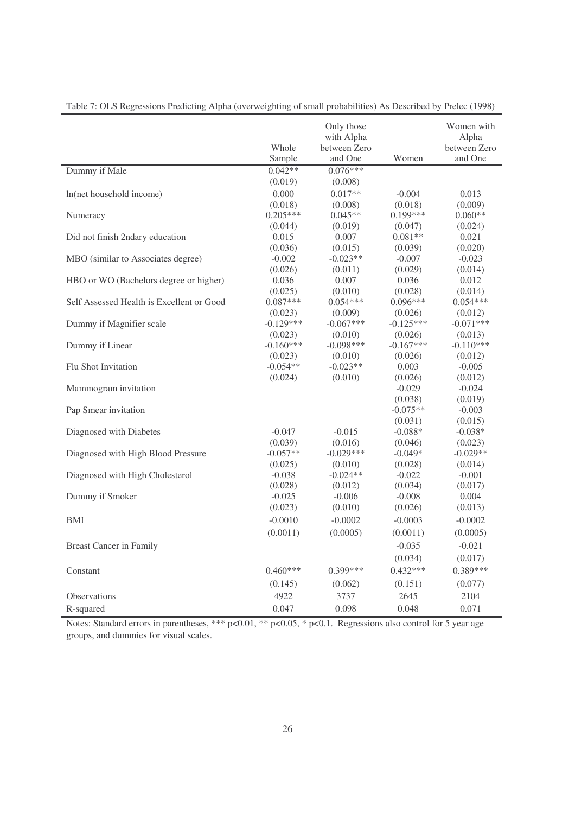|                                           |             | Only those<br>with Alpha |             | Women with<br>Alpha |
|-------------------------------------------|-------------|--------------------------|-------------|---------------------|
|                                           | Whole       | between Zero             |             | between Zero        |
|                                           | Sample      | and One                  | Women       | and One             |
| Dummy if Male                             | $0.042**$   | $0.076***$               |             |                     |
|                                           | (0.019)     | (0.008)                  |             |                     |
| In(net household income)                  | 0.000       | $0.017**$                | $-0.004$    | 0.013               |
|                                           | (0.018)     | (0.008)                  | (0.018)     | (0.009)             |
| Numeracy                                  | $0.205***$  | $0.045**$                | $0.199***$  | $0.060**$           |
|                                           | (0.044)     | (0.019)                  | (0.047)     | (0.024)             |
| Did not finish 2ndary education           | 0.015       | 0.007                    | $0.081**$   | 0.021               |
|                                           | (0.036)     | (0.015)                  | (0.039)     | (0.020)             |
| MBO (similar to Associates degree)        | $-0.002$    | $-0.023**$               | $-0.007$    | $-0.023$            |
|                                           | (0.026)     | (0.011)                  | (0.029)     | (0.014)             |
| HBO or WO (Bachelors degree or higher)    | 0.036       | 0.007                    | 0.036       | 0.012               |
|                                           | (0.025)     | (0.010)                  | (0.028)     | (0.014)             |
| Self Assessed Health is Excellent or Good | $0.087***$  | $0.054***$               | $0.096***$  | $0.054***$          |
|                                           | (0.023)     | (0.009)                  | (0.026)     | (0.012)             |
| Dummy if Magnifier scale                  | $-0.129***$ | $-0.067***$              | $-0.125***$ | $-0.071***$         |
|                                           | (0.023)     | (0.010)                  | (0.026)     | (0.013)             |
| Dummy if Linear                           | $-0.160***$ | $-0.098***$              | $-0.167***$ | $-0.110***$         |
|                                           | (0.023)     | (0.010)                  | (0.026)     | (0.012)             |
| Flu Shot Invitation                       | $-0.054**$  | $-0.023**$               | 0.003       | $-0.005$            |
|                                           | (0.024)     | (0.010)                  | (0.026)     | (0.012)             |
| Mammogram invitation                      |             |                          | $-0.029$    | $-0.024$            |
|                                           |             |                          | (0.038)     | (0.019)             |
| Pap Smear invitation                      |             |                          | $-0.075**$  | $-0.003$            |
|                                           |             |                          | (0.031)     | (0.015)             |
| Diagnosed with Diabetes                   | $-0.047$    | $-0.015$                 | $-0.088*$   | $-0.038*$           |
|                                           | (0.039)     | (0.016)                  | (0.046)     | (0.023)             |
| Diagnosed with High Blood Pressure        | $-0.057**$  | $-0.029***$              | $-0.049*$   | $-0.029**$          |
|                                           | (0.025)     | (0.010)                  | (0.028)     | (0.014)             |
| Diagnosed with High Cholesterol           | $-0.038$    | $-0.024**$               | $-0.022$    | $-0.001$            |
|                                           | (0.028)     | (0.012)                  | (0.034)     | (0.017)             |
| Dummy if Smoker                           | $-0.025$    | $-0.006$                 | $-0.008$    | 0.004               |
|                                           | (0.023)     | (0.010)                  | (0.026)     | (0.013)             |
| BMI                                       | $-0.0010$   | $-0.0002$                | $-0.0003$   | $-0.0002$           |
|                                           | (0.0011)    | (0.0005)                 | (0.0011)    | (0.0005)            |
| <b>Breast Cancer in Family</b>            |             |                          | $-0.035$    | $-0.021$            |
|                                           |             |                          | (0.034)     | (0.017)             |
| Constant                                  | $0.460***$  | $0.399***$               | $0.432***$  | $0.389***$          |
|                                           |             |                          |             |                     |
|                                           | (0.145)     | (0.062)                  | (0.151)     | (0.077)             |
| Observations                              | 4922        | 3737                     | 2645        | 2104                |
| R-squared                                 | 0.047       | 0.098                    | 0.048       | 0.071               |

Table 7: OLS Regressions Predicting Alpha (overweighting of small probabilities) As Described by Prelec (1998)

Notes: Standard errors in parentheses, \*\*\* p<0.01, \*\* p<0.05, \* p<0.1. Regressions also control for 5 year age groups, and dummies for visual scales.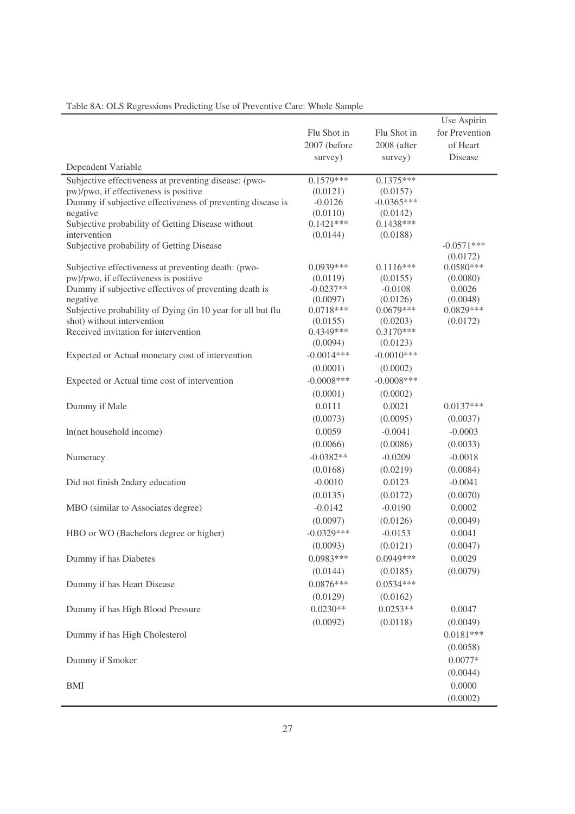|                                                                    |                                        |                                       | Use Aspirin                           |
|--------------------------------------------------------------------|----------------------------------------|---------------------------------------|---------------------------------------|
| Dependent Variable                                                 | Flu Shot in<br>2007 (before<br>survey) | Flu Shot in<br>2008 (after<br>survey) | for Prevention<br>of Heart<br>Disease |
| Subjective effectiveness at preventing disease: (pwo-              | $0.1579***$                            | $0.1375***$                           |                                       |
| pw)/pwo, if effectiveness is positive                              | (0.0121)                               | (0.0157)                              |                                       |
| Dummy if subjective effectiveness of preventing disease is         | $-0.0126$                              | $-0.0365***$                          |                                       |
| negative                                                           | (0.0110)                               | (0.0142)                              |                                       |
| Subjective probability of Getting Disease without                  | $0.1421***$                            | $0.1438***$                           |                                       |
| intervention                                                       | (0.0144)                               | (0.0188)                              |                                       |
| Subjective probability of Getting Disease                          |                                        |                                       | $-0.0571***$<br>(0.0172)              |
| Subjective effectiveness at preventing death: (pwo-                | $0.0939***$                            | $0.1116***$                           | $0.0580***$                           |
| pw)/pwo, if effectiveness is positive                              | (0.0119)                               | (0.0155)                              | (0.0080)                              |
| Dummy if subjective effectives of preventing death is              | $-0.0237**$                            | $-0.0108$                             | 0.0026                                |
| negative                                                           | (0.0097)                               | (0.0126)                              | (0.0048)                              |
| Subjective probability of Dying (in 10 year for all but flu        | $0.0718***$                            | $0.0679***$                           | $0.0829***$                           |
| shot) without intervention<br>Received invitation for intervention | (0.0155)<br>$0.4349***$                | (0.0203)<br>$0.3170***$               | (0.0172)                              |
|                                                                    | (0.0094)                               | (0.0123)                              |                                       |
| Expected or Actual monetary cost of intervention                   | $-0.0014***$                           | $-0.0010***$                          |                                       |
|                                                                    | (0.0001)                               | (0.0002)                              |                                       |
| Expected or Actual time cost of intervention                       | $-0.0008$ ***                          | $-0.0008$ ***                         |                                       |
|                                                                    | (0.0001)                               | (0.0002)                              |                                       |
| Dummy if Male                                                      | 0.0111                                 | 0.0021                                | $0.0137***$                           |
|                                                                    | (0.0073)                               | (0.0095)                              | (0.0037)                              |
| In(net household income)                                           | 0.0059                                 | $-0.0041$                             | $-0.0003$                             |
|                                                                    | (0.0066)                               | (0.0086)                              | (0.0033)                              |
| Numeracy                                                           | $-0.0382**$                            | $-0.0209$                             | $-0.0018$                             |
|                                                                    | (0.0168)                               | (0.0219)                              | (0.0084)                              |
| Did not finish 2ndary education                                    | $-0.0010$                              | 0.0123                                | $-0.0041$                             |
|                                                                    | (0.0135)                               | (0.0172)                              | (0.0070)                              |
|                                                                    | $-0.0142$                              | $-0.0190$                             | 0.0002                                |
| MBO (similar to Associates degree)                                 | (0.0097)                               | (0.0126)                              | (0.0049)                              |
|                                                                    | $-0.0329***$                           | $-0.0153$                             | 0.0041                                |
| HBO or WO (Bachelors degree or higher)                             |                                        |                                       |                                       |
|                                                                    | (0.0093)<br>$0.0983***$                | (0.0121)<br>$0.0949***$               | (0.0047)                              |
| Dummy if has Diabetes                                              |                                        |                                       | 0.0029                                |
|                                                                    | (0.0144)                               | (0.0185)                              | (0.0079)                              |
| Dummy if has Heart Disease                                         | $0.0876***$                            | $0.0534***$                           |                                       |
|                                                                    | (0.0129)                               | (0.0162)                              |                                       |
| Dummy if has High Blood Pressure                                   | $0.0230**$                             | $0.0253**$                            | 0.0047                                |
|                                                                    | (0.0092)                               | (0.0118)                              | (0.0049)                              |
| Dummy if has High Cholesterol                                      |                                        |                                       | $0.0181***$                           |
|                                                                    |                                        |                                       | (0.0058)                              |
| Dummy if Smoker                                                    |                                        |                                       | $0.0077*$                             |
|                                                                    |                                        |                                       | (0.0044)                              |
| <b>BMI</b>                                                         |                                        |                                       | 0.0000                                |
|                                                                    |                                        |                                       | (0.0002)                              |

# Table 8A: OLS Regressions Predicting Use of Preventive Care: Whole Sample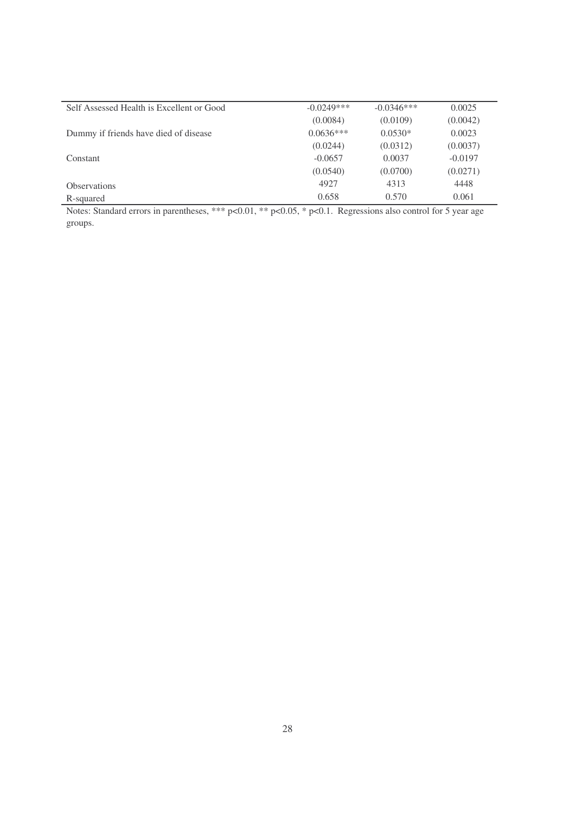| Self Assessed Health is Excellent or Good | $-0.0249***$ | $-0.0346***$ | 0.0025    |
|-------------------------------------------|--------------|--------------|-----------|
|                                           | (0.0084)     | (0.0109)     | (0.0042)  |
| Dummy if friends have died of disease     | $0.0636***$  | $0.0530*$    | 0.0023    |
|                                           | (0.0244)     | (0.0312)     | (0.0037)  |
| Constant                                  | $-0.0657$    | 0.0037       | $-0.0197$ |
|                                           | (0.0540)     | (0.0700)     | (0.0271)  |
| <b>Observations</b>                       | 4927         | 4313         | 4448      |
| R-squared                                 | 0.658        | 0.570        | 0.061     |

Notes: Standard errors in parentheses, \*\*\* p<0.01, \*\* p<0.05, \* p<0.1. Regressions also control for 5 year age groups.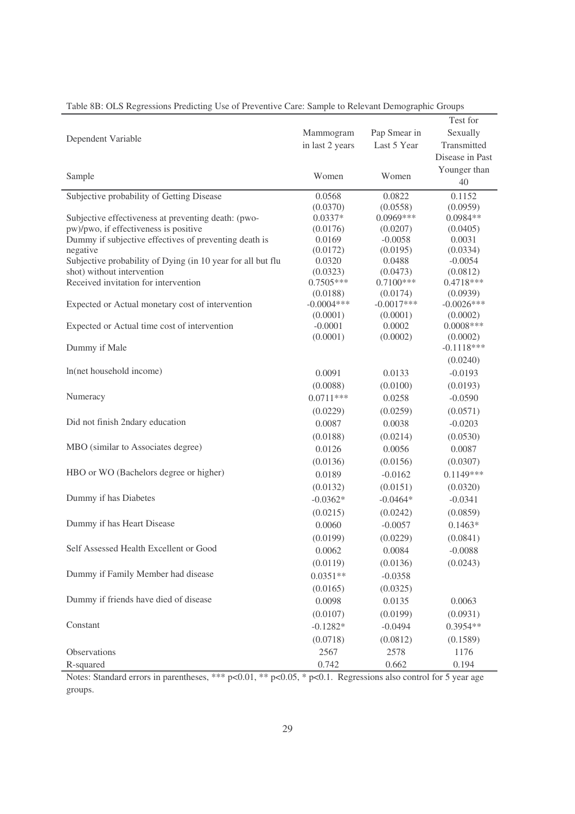|                                                                                                                         |                         |                         | Test for                |
|-------------------------------------------------------------------------------------------------------------------------|-------------------------|-------------------------|-------------------------|
|                                                                                                                         | Mammogram               | Pap Smear in            | Sexually                |
| Dependent Variable                                                                                                      | in last 2 years         | Last 5 Year             | Transmitted             |
|                                                                                                                         |                         |                         | Disease in Past         |
|                                                                                                                         |                         |                         | Younger than            |
| Sample                                                                                                                  | Women                   | Women                   | 40                      |
| Subjective probability of Getting Disease                                                                               | 0.0568                  | 0.0822                  | 0.1152                  |
|                                                                                                                         | (0.0370)                | (0.0558)                | (0.0959)                |
| Subjective effectiveness at preventing death: (pwo-                                                                     | $0.0337*$               | $0.0969***$             | $0.0984**$              |
| pw)/pwo, if effectiveness is positive                                                                                   | (0.0176)                | (0.0207)                | (0.0405)                |
| Dummy if subjective effectives of preventing death is                                                                   | 0.0169                  | $-0.0058$               | 0.0031                  |
| negative                                                                                                                | (0.0172)                | (0.0195)                | (0.0334)                |
| Subjective probability of Dying (in 10 year for all but flu                                                             | 0.0320                  | 0.0488                  | $-0.0054$               |
| shot) without intervention                                                                                              | (0.0323)                | (0.0473)<br>$0.7100***$ | (0.0812)                |
| Received invitation for intervention                                                                                    | $0.7505***$<br>(0.0188) | (0.0174)                | $0.4718***$<br>(0.0939) |
| Expected or Actual monetary cost of intervention                                                                        | $-0.0004***$            | $-0.0017***$            | $-0.0026***$            |
|                                                                                                                         | (0.0001)                | (0.0001)                | (0.0002)                |
| Expected or Actual time cost of intervention                                                                            | $-0.0001$               | 0.0002                  | $0.0008***$             |
|                                                                                                                         | (0.0001)                | (0.0002)                | (0.0002)                |
| Dummy if Male                                                                                                           |                         |                         | $-0.1118***$            |
|                                                                                                                         |                         |                         | (0.0240)                |
| In(net household income)                                                                                                | 0.0091                  | 0.0133                  | $-0.0193$               |
|                                                                                                                         | (0.0088)                | (0.0100)                | (0.0193)                |
| Numeracy                                                                                                                | $0.0711***$             | 0.0258                  | $-0.0590$               |
|                                                                                                                         | (0.0229)                | (0.0259)                | (0.0571)                |
| Did not finish 2ndary education                                                                                         | 0.0087                  | 0.0038                  | $-0.0203$               |
|                                                                                                                         | (0.0188)                | (0.0214)                | (0.0530)                |
| MBO (similar to Associates degree)                                                                                      | 0.0126                  | 0.0056                  | 0.0087                  |
|                                                                                                                         | (0.0136)                | (0.0156)                | (0.0307)                |
| HBO or WO (Bachelors degree or higher)                                                                                  | 0.0189                  | $-0.0162$               | $0.1149***$             |
|                                                                                                                         | (0.0132)                | (0.0151)                | (0.0320)                |
| Dummy if has Diabetes                                                                                                   | $-0.0362*$              | $-0.0464*$              | $-0.0341$               |
|                                                                                                                         | (0.0215)                | (0.0242)                | (0.0859)                |
| Dummy if has Heart Disease                                                                                              | 0.0060                  | $-0.0057$               | $0.1463*$               |
|                                                                                                                         | (0.0199)                | (0.0229)                | (0.0841)                |
| Self Assessed Health Excellent or Good                                                                                  | 0.0062                  | 0.0084                  | $-0.0088$               |
|                                                                                                                         |                         |                         |                         |
| Dummy if Family Member had disease                                                                                      | (0.0119)                | (0.0136)                | (0.0243)                |
|                                                                                                                         | $0.0351**$              | $-0.0358$               |                         |
|                                                                                                                         | (0.0165)                | (0.0325)                |                         |
| Dummy if friends have died of disease                                                                                   | 0.0098                  | 0.0135                  | 0.0063                  |
|                                                                                                                         | (0.0107)                | (0.0199)                | (0.0931)                |
| Constant                                                                                                                | $-0.1282*$              | $-0.0494$               | $0.3954**$              |
|                                                                                                                         | (0.0718)                | (0.0812)                | (0.1589)                |
| Observations                                                                                                            | 2567                    | 2578                    | 1176                    |
| R-squared                                                                                                               | 0.742                   | 0.662                   | 0.194                   |
| Notes: Standard errors in parentheses, *** $p<0.01$ , ** $p<0.05$ , * $p<0.1$ . Regressions also control for 5 year age |                         |                         |                         |

| Table 8B: OLS Regressions Predicting Use of Preventive Care: Sample to Relevant Demographic Groups |  |  |
|----------------------------------------------------------------------------------------------------|--|--|
|                                                                                                    |  |  |

Notes: Standard errors in parentheses, \*\*\* p<0.01, \*\* p<0.05, \* p<0.1. Regressions also control for 5 year age groups.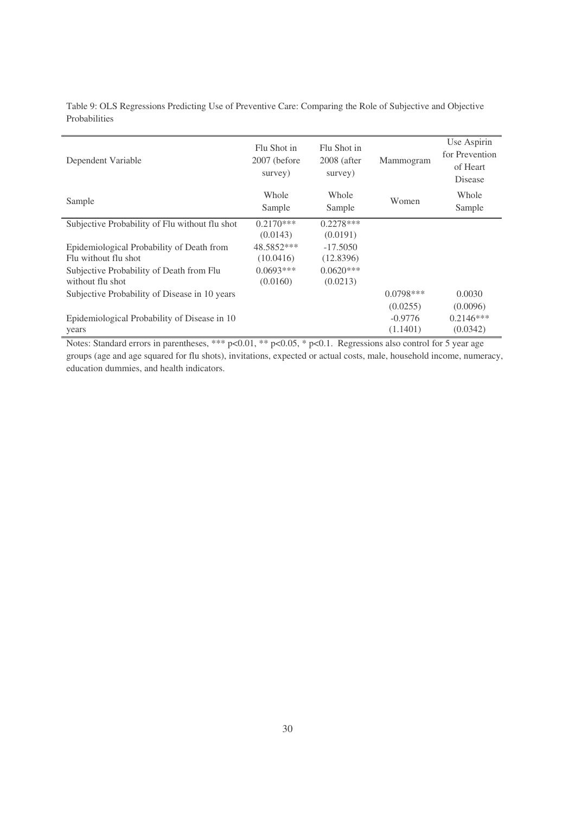| Dependent Variable                                                | Flu Shot in<br>2007 (before)<br>survey) | Flu Shot in<br>$2008$ (after<br>survey) | Mammogram             | Use Aspirin<br>for Prevention<br>of Heart<br>Disease |
|-------------------------------------------------------------------|-----------------------------------------|-----------------------------------------|-----------------------|------------------------------------------------------|
| Sample                                                            | Whole<br>Sample                         | Whole<br>Sample                         | Women                 | Whole<br>Sample                                      |
| Subjective Probability of Flu without flu shot                    | $0.2170***$                             | $0.2278***$                             |                       |                                                      |
| Epidemiological Probability of Death from<br>Flu without flu shot | (0.0143)<br>48.5852***<br>(10.0416)     | (0.0191)<br>$-17.5050$<br>(12.8396)     |                       |                                                      |
| Subjective Probability of Death from Flu<br>without flu shot      | $0.0693***$<br>(0.0160)                 | $0.0620***$<br>(0.0213)                 |                       |                                                      |
| Subjective Probability of Disease in 10 years                     |                                         |                                         | $0.0798***$           | 0.0030                                               |
|                                                                   |                                         |                                         | (0.0255)              | (0.0096)                                             |
| Epidemiological Probability of Disease in 10<br>years             |                                         |                                         | $-0.9776$<br>(1.1401) | $0.2146***$<br>(0.0342)                              |

Table 9: OLS Regressions Predicting Use of Preventive Care: Comparing the Role of Subjective and Objective Probabilities

Notes: Standard errors in parentheses, \*\*\* p<0.01, \*\* p<0.05, \* p<0.1. Regressions also control for 5 year age groups (age and age squared for flu shots), invitations, expected or actual costs, male, household income, numeracy, education dummies, and health indicators.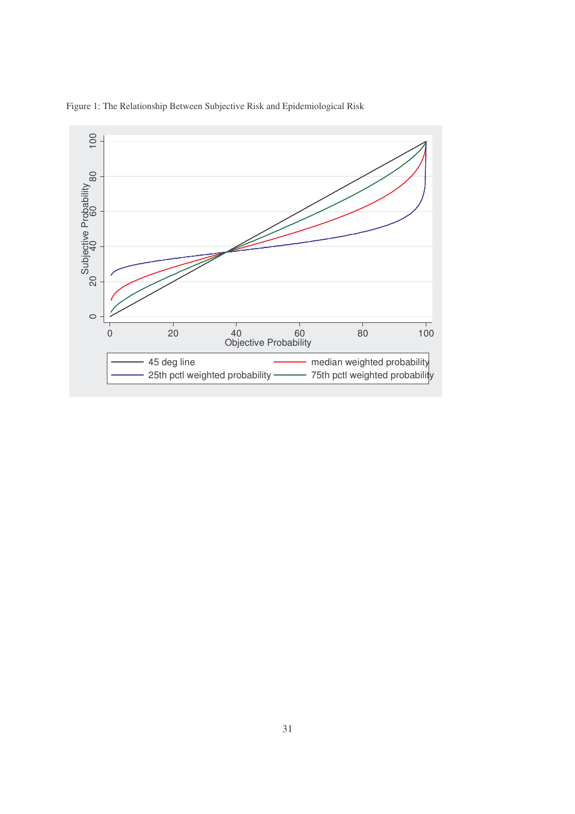

Figure 1: The Relationship Between Subjective Risk and Epidemiological Risk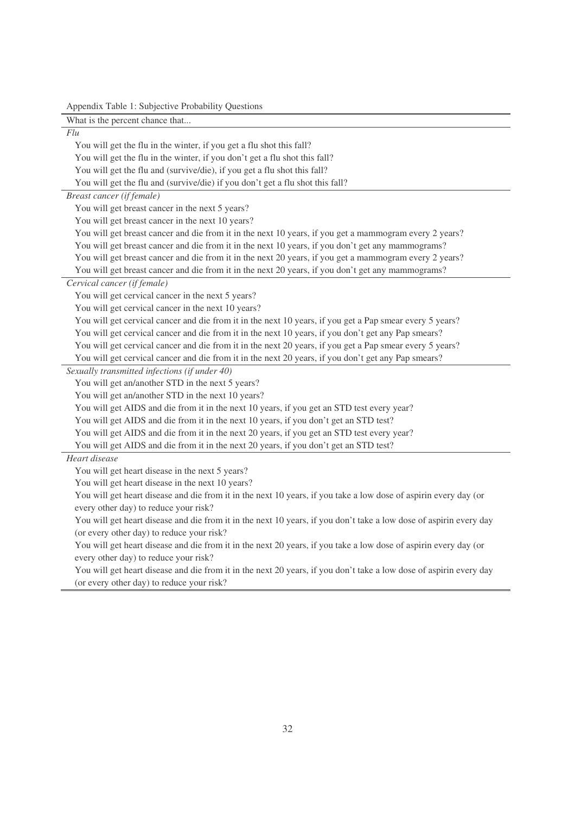Appendix Table 1: Subjective Probability Questions

| What is the percent chance that                                                                                    |
|--------------------------------------------------------------------------------------------------------------------|
| Flu                                                                                                                |
| You will get the flu in the winter, if you get a flu shot this fall?                                               |
| You will get the flu in the winter, if you don't get a flu shot this fall?                                         |
| You will get the flu and (survive/die), if you get a flu shot this fall?                                           |
| You will get the flu and (survive/die) if you don't get a flu shot this fall?                                      |
| Breast cancer (if female)                                                                                          |
| You will get breast cancer in the next 5 years?                                                                    |
| You will get breast cancer in the next 10 years?                                                                   |
| You will get breast cancer and die from it in the next 10 years, if you get a mammogram every 2 years?             |
| You will get breast cancer and die from it in the next 10 years, if you don't get any mammograms?                  |
| You will get breast cancer and die from it in the next 20 years, if you get a mammogram every 2 years?             |
| You will get breast cancer and die from it in the next 20 years, if you don't get any mammograms?                  |
| Cervical cancer (if female)                                                                                        |
| You will get cervical cancer in the next 5 years?                                                                  |
| You will get cervical cancer in the next 10 years?                                                                 |
| You will get cervical cancer and die from it in the next 10 years, if you get a Pap smear every 5 years?           |
| You will get cervical cancer and die from it in the next 10 years, if you don't get any Pap smears?                |
| You will get cervical cancer and die from it in the next 20 years, if you get a Pap smear every 5 years?           |
| You will get cervical cancer and die from it in the next 20 years, if you don't get any Pap smears?                |
| Sexually transmitted infections (if under 40)                                                                      |
| You will get an/another STD in the next 5 years?                                                                   |
| You will get an/another STD in the next 10 years?                                                                  |
| You will get AIDS and die from it in the next 10 years, if you get an STD test every year?                         |
| You will get AIDS and die from it in the next 10 years, if you don't get an STD test?                              |
| You will get AIDS and die from it in the next 20 years, if you get an STD test every year?                         |
| You will get AIDS and die from it in the next 20 years, if you don't get an STD test?                              |
| Heart disease                                                                                                      |
| You will get heart disease in the next 5 years?                                                                    |
| You will get heart disease in the next 10 years?                                                                   |
| You will get heart disease and die from it in the next 10 years, if you take a low dose of aspirin every day (or   |
| every other day) to reduce your risk?                                                                              |
| You will get heart disease and die from it in the next 10 years, if you don't take a low dose of aspirin every day |
| (or every other day) to reduce your risk?                                                                          |
| You will get heart disease and die from it in the next 20 years, if you take a low dose of aspirin every day (or   |
| every other day) to reduce your risk?                                                                              |
| You will get heart disease and die from it in the next 20 years, if you don't take a low dose of aspirin every day |
| (or every other day) to reduce your risk?                                                                          |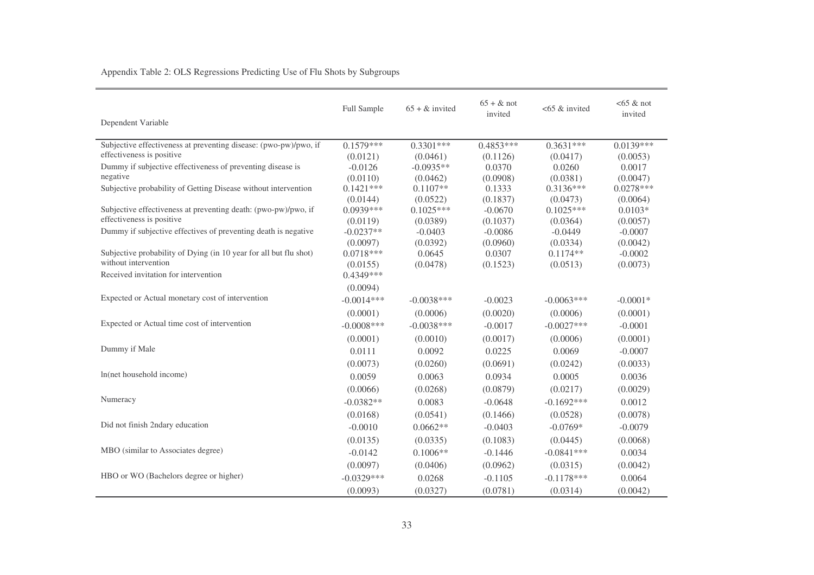|                                                                                           | Full Sample             | $65 + \&$ invited | $65 + \&$ not<br>invited | $<$ 65 & invited | $<65$ & not<br>invited |
|-------------------------------------------------------------------------------------------|-------------------------|-------------------|--------------------------|------------------|------------------------|
| Dependent Variable                                                                        |                         |                   |                          |                  |                        |
| Subjective effectiveness at preventing disease: (pwo-pw)/pwo, if                          | $0.1579***$             | $0.3301***$       | $0.4853***$              | $0.3631***$      | $0.0139***$            |
| effectiveness is positive                                                                 | (0.0121)                | (0.0461)          | (0.1126)                 | (0.0417)         | (0.0053)               |
| Dummy if subjective effectiveness of preventing disease is                                | $-0.0126$               | $-0.0935**$       | 0.0370                   | 0.0260           | 0.0017                 |
| negative                                                                                  | (0.0110)                | (0.0462)          | (0.0908)                 | (0.0381)         | (0.0047)               |
| Subjective probability of Getting Disease without intervention                            | $0.1421***$             | $0.1107**$        | 0.1333                   | $0.3136***$      | $0.0278***$            |
|                                                                                           | (0.0144)                | (0.0522)          | (0.1837)                 | (0.0473)         | (0.0064)               |
| Subjective effectiveness at preventing death: (pwo-pw)/pwo, if                            | $0.0939***$             | $0.1025***$       | $-0.0670$                | $0.1025***$      | $0.0103*$              |
| effectiveness is positive                                                                 | (0.0119)                | (0.0389)          | (0.1037)                 | (0.0364)         | (0.0057)               |
| Dummy if subjective effectives of preventing death is negative                            | $-0.0237**$             | $-0.0403$         | $-0.0086$                | $-0.0449$        | $-0.0007$              |
|                                                                                           | (0.0097)                | (0.0392)          | (0.0960)                 | (0.0334)         | (0.0042)               |
| Subjective probability of Dying (in 10 year for all but flu shot)<br>without intervention | $0.0718***$             | 0.0645            | 0.0307                   | $0.1174**$       | $-0.0002$              |
| Received invitation for intervention                                                      | (0.0155)<br>$0.4349***$ | (0.0478)          | (0.1523)                 | (0.0513)         | (0.0073)               |
|                                                                                           | (0.0094)                |                   |                          |                  |                        |
| Expected or Actual monetary cost of intervention                                          |                         |                   |                          |                  |                        |
|                                                                                           | $-0.0014***$            | $-0.0038***$      | $-0.0023$                | $-0.0063***$     | $-0.0001*$             |
|                                                                                           | (0.0001)                | (0.0006)          | (0.0020)                 | (0.0006)         | (0.0001)               |
| Expected or Actual time cost of intervention                                              | $-0.0008$ ***           | $-0.0038***$      | $-0.0017$                | $-0.0027***$     | $-0.0001$              |
|                                                                                           | (0.0001)                | (0.0010)          | (0.0017)                 | (0.0006)         | (0.0001)               |
| Dummy if Male                                                                             | 0.0111                  | 0.0092            | 0.0225                   | 0.0069           | $-0.0007$              |
|                                                                                           | (0.0073)                | (0.0260)          | (0.0691)                 | (0.0242)         | (0.0033)               |
| In(net household income)                                                                  | 0.0059                  | 0.0063            | 0.0934                   | 0.0005           | 0.0036                 |
|                                                                                           | (0.0066)                | (0.0268)          | (0.0879)                 | (0.0217)         | (0.0029)               |
| Numeracy                                                                                  | $-0.0382**$             | 0.0083            | $-0.0648$                | $-0.1692***$     | 0.0012                 |
|                                                                                           | (0.0168)                | (0.0541)          | (0.1466)                 | (0.0528)         | (0.0078)               |
| Did not finish 2ndary education                                                           | $-0.0010$               | $0.0662**$        | $-0.0403$                | $-0.0769*$       | $-0.0079$              |
|                                                                                           | (0.0135)                | (0.0335)          | (0.1083)                 | (0.0445)         | (0.0068)               |
| MBO (similar to Associates degree)                                                        | $-0.0142$               | $0.1006**$        | $-0.1446$                | $-0.0841***$     | 0.0034                 |
|                                                                                           | (0.0097)                | (0.0406)          | (0.0962)                 | (0.0315)         | (0.0042)               |
| HBO or WO (Bachelors degree or higher)                                                    | $-0.0329***$            | 0.0268            | $-0.1105$                | $-0.1178***$     | 0.0064                 |
|                                                                                           | (0.0093)                | (0.0327)          | (0.0781)                 | (0.0314)         | (0.0042)               |

Appendix Table 2: OLS Regressions Predicting Use of Flu Shots by Subgroups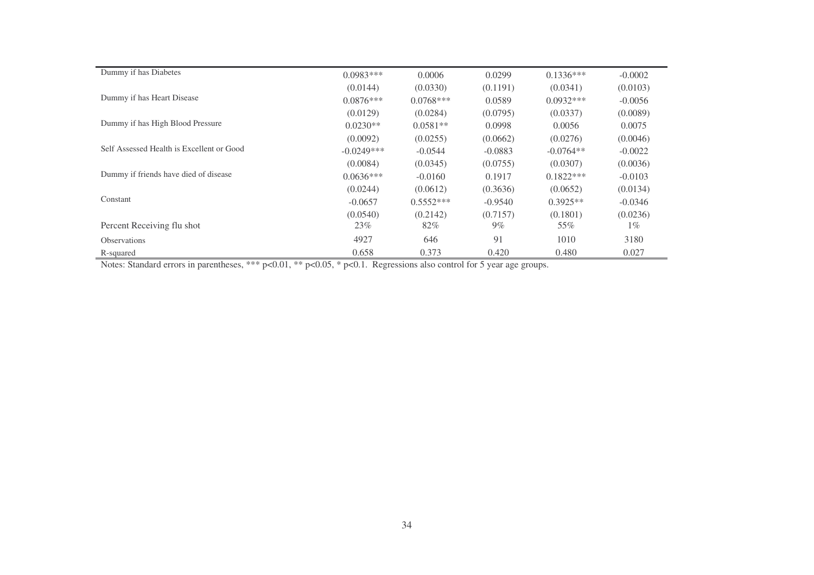| Dummy if has Diabetes                     | $0.0983***$  | 0.0006      | 0.0299    | $0.1336***$ | $-0.0002$ |
|-------------------------------------------|--------------|-------------|-----------|-------------|-----------|
|                                           | (0.0144)     | (0.0330)    | (0.1191)  | (0.0341)    | (0.0103)  |
| Dummy if has Heart Disease                | $0.0876***$  | $0.0768***$ | 0.0589    | $0.0932***$ | $-0.0056$ |
|                                           | (0.0129)     | (0.0284)    | (0.0795)  | (0.0337)    | (0.0089)  |
| Dummy if has High Blood Pressure          | $0.0230**$   | $0.0581**$  | 0.0998    | 0.0056      | 0.0075    |
|                                           | (0.0092)     | (0.0255)    | (0.0662)  | (0.0276)    | (0.0046)  |
| Self Assessed Health is Excellent or Good | $-0.0249***$ | $-0.0544$   | $-0.0883$ | $-0.0764**$ | $-0.0022$ |
|                                           | (0.0084)     | (0.0345)    | (0.0755)  | (0.0307)    | (0.0036)  |
| Dummy if friends have died of disease     | $0.0636***$  | $-0.0160$   | 0.1917    | $0.1822***$ | $-0.0103$ |
|                                           | (0.0244)     | (0.0612)    | (0.3636)  | (0.0652)    | (0.0134)  |
| Constant                                  | $-0.0657$    | $0.5552***$ | $-0.9540$ | $0.3925**$  | $-0.0346$ |
|                                           | (0.0540)     | (0.2142)    | (0.7157)  | (0.1801)    | (0.0236)  |
| Percent Receiving flu shot                | 23%          | 82%         | $9\%$     | 55%         | $1\%$     |
| <b>Observations</b>                       | 4927         | 646         | 91        | 1010        | 3180      |
| R-squared                                 | 0.658        | 0.373       | 0.420     | 0.480       | 0.027     |

Notes: Standard errors in parentheses, \*\*\* p<0.01, \*\* p<0.05, \* p<0.1. Regressions also control for 5 year age groups.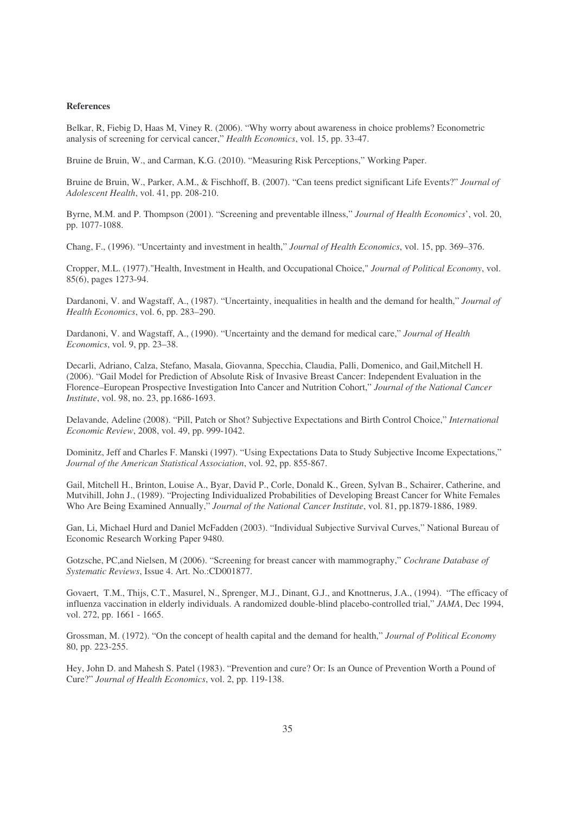#### **References**

Belkar, R, Fiebig D, Haas M, Viney R. (2006). "Why worry about awareness in choice problems? Econometric analysis of screening for cervical cancer," *Health Economics*, vol. 15, pp. 33-47.

Bruine de Bruin, W., and Carman, K.G. (2010). "Measuring Risk Perceptions," Working Paper.

Bruine de Bruin, W., Parker, A.M., & Fischhoff, B. (2007). "Can teens predict significant Life Events?" *Journal of Adolescent Health*, vol. 41, pp. 208-210.

Byrne, M.M. and P. Thompson (2001). "Screening and preventable illness," *Journal of Health Economics*', vol. 20, pp. 1077-1088.

Chang, F., (1996). "Uncertainty and investment in health," *Journal of Health Economics*, vol. 15, pp. 369–376.

Cropper, M.L. (1977)."Health, Investment in Health, and Occupational Choice," *Journal of Political Economy*, vol. 85(6), pages 1273-94.

Dardanoni, V. and Wagstaff, A., (1987). "Uncertainty, inequalities in health and the demand for health," *Journal of Health Economics*, vol. 6, pp. 283–290.

Dardanoni, V. and Wagstaff, A., (1990). "Uncertainty and the demand for medical care," *Journal of Health Economics*, vol. 9, pp. 23–38.

Decarli, Adriano, Calza, Stefano, Masala, Giovanna, Specchia, Claudia, Palli, Domenico, and Gail,Mitchell H. (2006). "Gail Model for Prediction of Absolute Risk of Invasive Breast Cancer: Independent Evaluation in the Florence–European Prospective Investigation Into Cancer and Nutrition Cohort," *Journal of the National Cancer Institute*, vol. 98, no. 23, pp.1686-1693.

Delavande, Adeline (2008). "Pill, Patch or Shot? Subjective Expectations and Birth Control Choice," *International Economic Review*, 2008, vol. 49, pp. 999-1042.

Dominitz, Jeff and Charles F. Manski (1997). "Using Expectations Data to Study Subjective Income Expectations," *Journal of the American Statistical Association*, vol. 92, pp. 855-867.

Gail, Mitchell H., Brinton, Louise A., Byar, David P., Corle, Donald K., Green, Sylvan B., Schairer, Catherine, and Mutvihill, John J., (1989). "Projecting Individualized Probabilities of Developing Breast Cancer for White Females Who Are Being Examined Annually," *Journal of the National Cancer Institute*, vol. 81, pp.1879-1886, 1989.

Gan, Li, Michael Hurd and Daniel McFadden (2003). "Individual Subjective Survival Curves," National Bureau of Economic Research Working Paper 9480.

Gotzsche, PC,and Nielsen, M (2006). "Screening for breast cancer with mammography," *Cochrane Database of Systematic Reviews*, Issue 4. Art. No.:CD001877.

Govaert, T.M., Thijs, C.T., Masurel, N., Sprenger, M.J., Dinant, G.J., and Knottnerus, J.A., (1994). "The efficacy of influenza vaccination in elderly individuals. A randomized double-blind placebo-controlled trial," *JAMA*, Dec 1994, vol. 272, pp. 1661 - 1665.

Grossman, M. (1972). "On the concept of health capital and the demand for health," *Journal of Political Economy* 80, pp. 223-255.

Hey, John D. and Mahesh S. Patel (1983). "Prevention and cure? Or: Is an Ounce of Prevention Worth a Pound of Cure?" *Journal of Health Economics*, vol. 2, pp. 119-138.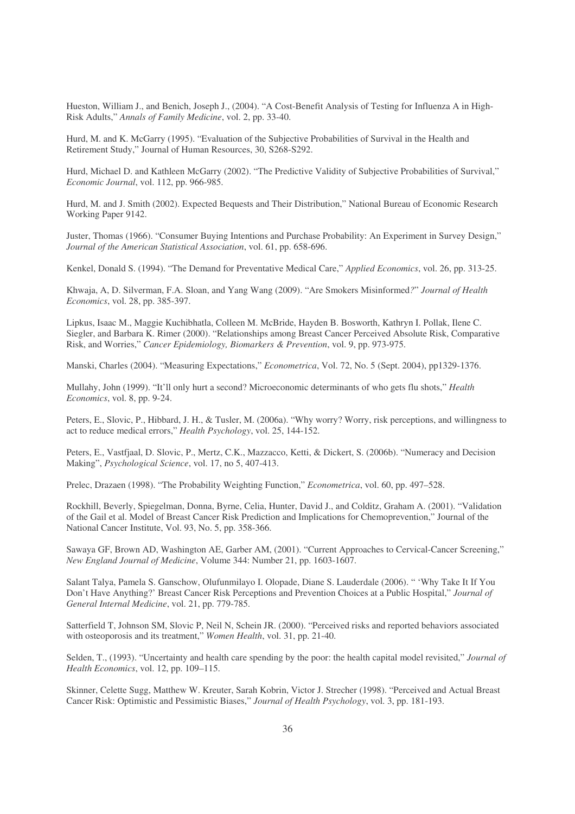Hueston, William J., and Benich, Joseph J., (2004). "A Cost-Benefit Analysis of Testing for Influenza A in High-Risk Adults," *Annals of Family Medicine*, vol. 2, pp. 33-40.

Hurd, M. and K. McGarry (1995). "Evaluation of the Subjective Probabilities of Survival in the Health and Retirement Study," Journal of Human Resources, 30, S268-S292.

Hurd, Michael D. and Kathleen McGarry (2002). "The Predictive Validity of Subjective Probabilities of Survival," *Economic Journal*, vol. 112, pp. 966-985.

Hurd, M. and J. Smith (2002). Expected Bequests and Their Distribution," National Bureau of Economic Research Working Paper 9142.

Juster, Thomas (1966). "Consumer Buying Intentions and Purchase Probability: An Experiment in Survey Design," *Journal of the American Statistical Association*, vol. 61, pp. 658-696.

Kenkel, Donald S. (1994). "The Demand for Preventative Medical Care," *Applied Economics*, vol. 26, pp. 313-25.

Khwaja, A, D. Silverman, F.A. Sloan, and Yang Wang (2009). "Are Smokers Misinformed*?*" *Journal of Health Economics*, vol. 28, pp. 385-397.

Lipkus, Isaac M., Maggie Kuchibhatla, Colleen M. McBride, Hayden B. Bosworth, Kathryn I. Pollak, Ilene C. Siegler, and Barbara K. Rimer (2000). "Relationships among Breast Cancer Perceived Absolute Risk, Comparative Risk, and Worries," *Cancer Epidemiology, Biomarkers & Prevention*, vol. 9, pp. 973-975.

Manski, Charles (2004). "Measuring Expectations," *Econometrica*, Vol. 72, No. 5 (Sept. 2004), pp1329-1376.

Mullahy, John (1999). "It'll only hurt a second? Microeconomic determinants of who gets flu shots," *Health Economics*, vol. 8, pp. 9-24.

Peters, E., Slovic, P., Hibbard, J. H., & Tusler, M. (2006a). "Why worry? Worry, risk perceptions, and willingness to act to reduce medical errors," *Health Psychology*, vol. 25, 144-152.

Peters, E., Vastfjaal, D. Slovic, P., Mertz, C.K., Mazzacco, Ketti, & Dickert, S. (2006b). "Numeracy and Decision Making", *Psychological Science*, vol. 17, no 5, 407-413.

Prelec, Drazaen (1998). "The Probability Weighting Function," *Econometrica*, vol. 60, pp. 497–528.

Rockhill, Beverly, Spiegelman, Donna, Byrne, Celia, Hunter, David J., and Colditz, Graham A. (2001). "Validation of the Gail et al. Model of Breast Cancer Risk Prediction and Implications for Chemoprevention," Journal of the National Cancer Institute, Vol. 93, No. 5, pp. 358-366.

Sawaya GF, Brown AD, Washington AE, Garber AM, (2001). "Current Approaches to Cervical-Cancer Screening," *New England Journal of Medicine*, Volume 344: Number 21, pp. 1603-1607.

Salant Talya, Pamela S. Ganschow, Olufunmilayo I. Olopade, Diane S. Lauderdale (2006). " 'Why Take It If You Don't Have Anything?' Breast Cancer Risk Perceptions and Prevention Choices at a Public Hospital," *Journal of General Internal Medicine*, vol. 21, pp. 779-785.

Satterfield T, Johnson SM, Slovic P, Neil N, Schein JR. (2000). "Perceived risks and reported behaviors associated with osteoporosis and its treatment," *Women Health*, vol. 31, pp. 21-40.

Selden, T., (1993). "Uncertainty and health care spending by the poor: the health capital model revisited," *Journal of Health Economics*, vol. 12, pp. 109–115.

Skinner, Celette Sugg, Matthew W. Kreuter, Sarah Kobrin, Victor J. Strecher (1998). "Perceived and Actual Breast Cancer Risk: Optimistic and Pessimistic Biases," *Journal of Health Psychology*, vol. 3, pp. 181-193.